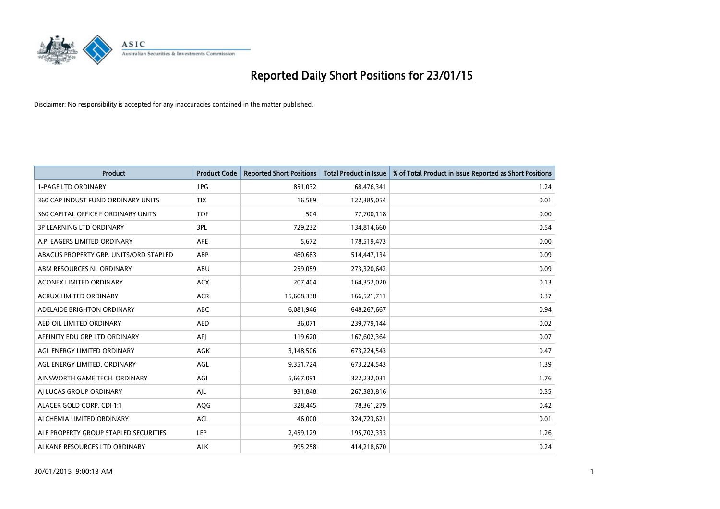

| <b>Product</b>                         | <b>Product Code</b> | <b>Reported Short Positions</b> | Total Product in Issue | % of Total Product in Issue Reported as Short Positions |
|----------------------------------------|---------------------|---------------------------------|------------------------|---------------------------------------------------------|
| <b>1-PAGE LTD ORDINARY</b>             | 1PG                 | 851,032                         | 68,476,341             | 1.24                                                    |
| 360 CAP INDUST FUND ORDINARY UNITS     | <b>TIX</b>          | 16,589                          | 122,385,054            | 0.01                                                    |
| 360 CAPITAL OFFICE F ORDINARY UNITS    | <b>TOF</b>          | 504                             | 77,700,118             | 0.00                                                    |
| <b>3P LEARNING LTD ORDINARY</b>        | 3PL                 | 729,232                         | 134,814,660            | 0.54                                                    |
| A.P. EAGERS LIMITED ORDINARY           | <b>APE</b>          | 5,672                           | 178,519,473            | 0.00                                                    |
| ABACUS PROPERTY GRP. UNITS/ORD STAPLED | <b>ABP</b>          | 480,683                         | 514,447,134            | 0.09                                                    |
| ABM RESOURCES NL ORDINARY              | ABU                 | 259,059                         | 273,320,642            | 0.09                                                    |
| ACONEX LIMITED ORDINARY                | <b>ACX</b>          | 207,404                         | 164,352,020            | 0.13                                                    |
| <b>ACRUX LIMITED ORDINARY</b>          | <b>ACR</b>          | 15,608,338                      | 166,521,711            | 9.37                                                    |
| ADELAIDE BRIGHTON ORDINARY             | <b>ABC</b>          | 6,081,946                       | 648,267,667            | 0.94                                                    |
| AED OIL LIMITED ORDINARY               | <b>AED</b>          | 36,071                          | 239,779,144            | 0.02                                                    |
| AFFINITY EDU GRP LTD ORDINARY          | AFJ                 | 119,620                         | 167,602,364            | 0.07                                                    |
| AGL ENERGY LIMITED ORDINARY            | AGK                 | 3,148,506                       | 673,224,543            | 0.47                                                    |
| AGL ENERGY LIMITED. ORDINARY           | AGL                 | 9,351,724                       | 673,224,543            | 1.39                                                    |
| AINSWORTH GAME TECH. ORDINARY          | AGI                 | 5,667,091                       | 322,232,031            | 1.76                                                    |
| AI LUCAS GROUP ORDINARY                | AJL                 | 931,848                         | 267,383,816            | 0.35                                                    |
| ALACER GOLD CORP. CDI 1:1              | AQG                 | 328,445                         | 78,361,279             | 0.42                                                    |
| ALCHEMIA LIMITED ORDINARY              | <b>ACL</b>          | 46,000                          | 324,723,621            | 0.01                                                    |
| ALE PROPERTY GROUP STAPLED SECURITIES  | <b>LEP</b>          | 2,459,129                       | 195,702,333            | 1.26                                                    |
| ALKANE RESOURCES LTD ORDINARY          | <b>ALK</b>          | 995,258                         | 414,218,670            | 0.24                                                    |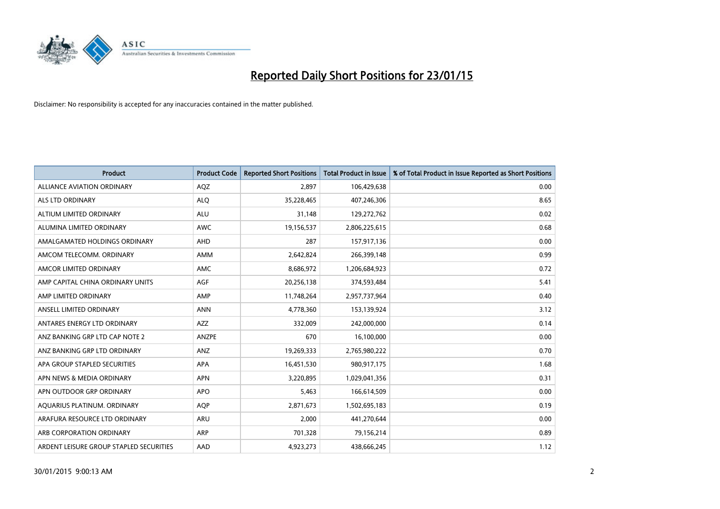

| <b>Product</b>                          | <b>Product Code</b> | <b>Reported Short Positions</b> | <b>Total Product in Issue</b> | % of Total Product in Issue Reported as Short Positions |
|-----------------------------------------|---------------------|---------------------------------|-------------------------------|---------------------------------------------------------|
| <b>ALLIANCE AVIATION ORDINARY</b>       | AQZ                 | 2.897                           | 106,429,638                   | 0.00                                                    |
| ALS LTD ORDINARY                        | <b>ALO</b>          | 35,228,465                      | 407,246,306                   | 8.65                                                    |
| ALTIUM LIMITED ORDINARY                 | <b>ALU</b>          | 31.148                          | 129,272,762                   | 0.02                                                    |
| ALUMINA LIMITED ORDINARY                | <b>AWC</b>          | 19,156,537                      | 2,806,225,615                 | 0.68                                                    |
| AMALGAMATED HOLDINGS ORDINARY           | <b>AHD</b>          | 287                             | 157,917,136                   | 0.00                                                    |
| AMCOM TELECOMM, ORDINARY                | <b>AMM</b>          | 2,642,824                       | 266,399,148                   | 0.99                                                    |
| AMCOR LIMITED ORDINARY                  | <b>AMC</b>          | 8,686,972                       | 1,206,684,923                 | 0.72                                                    |
| AMP CAPITAL CHINA ORDINARY UNITS        | <b>AGF</b>          | 20,256,138                      | 374,593,484                   | 5.41                                                    |
| AMP LIMITED ORDINARY                    | AMP                 | 11,748,264                      | 2,957,737,964                 | 0.40                                                    |
| ANSELL LIMITED ORDINARY                 | <b>ANN</b>          | 4,778,360                       | 153,139,924                   | 3.12                                                    |
| ANTARES ENERGY LTD ORDINARY             | <b>AZZ</b>          | 332,009                         | 242,000,000                   | 0.14                                                    |
| ANZ BANKING GRP LTD CAP NOTE 2          | ANZPE               | 670                             | 16,100,000                    | 0.00                                                    |
| ANZ BANKING GRP LTD ORDINARY            | ANZ                 | 19,269,333                      | 2,765,980,222                 | 0.70                                                    |
| APA GROUP STAPLED SECURITIES            | <b>APA</b>          | 16,451,530                      | 980,917,175                   | 1.68                                                    |
| APN NEWS & MEDIA ORDINARY               | <b>APN</b>          | 3,220,895                       | 1,029,041,356                 | 0.31                                                    |
| APN OUTDOOR GRP ORDINARY                | <b>APO</b>          | 5,463                           | 166,614,509                   | 0.00                                                    |
| AQUARIUS PLATINUM. ORDINARY             | <b>AQP</b>          | 2,871,673                       | 1,502,695,183                 | 0.19                                                    |
| ARAFURA RESOURCE LTD ORDINARY           | <b>ARU</b>          | 2,000                           | 441,270,644                   | 0.00                                                    |
| ARB CORPORATION ORDINARY                | <b>ARP</b>          | 701,328                         | 79,156,214                    | 0.89                                                    |
| ARDENT LEISURE GROUP STAPLED SECURITIES | AAD                 | 4,923,273                       | 438,666,245                   | 1.12                                                    |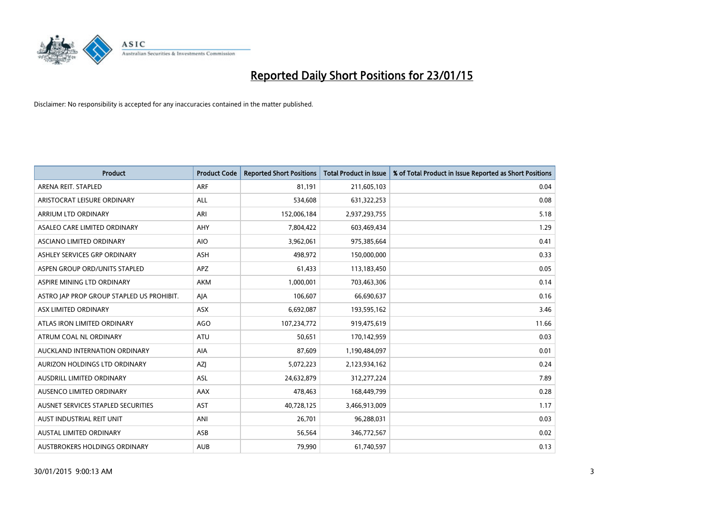

| <b>Product</b>                            | <b>Product Code</b> | <b>Reported Short Positions</b> | Total Product in Issue | % of Total Product in Issue Reported as Short Positions |
|-------------------------------------------|---------------------|---------------------------------|------------------------|---------------------------------------------------------|
| ARENA REIT. STAPLED                       | <b>ARF</b>          | 81,191                          | 211,605,103            | 0.04                                                    |
| ARISTOCRAT LEISURE ORDINARY               | ALL                 | 534,608                         | 631,322,253            | 0.08                                                    |
| ARRIUM LTD ORDINARY                       | ARI                 | 152,006,184                     | 2,937,293,755          | 5.18                                                    |
| ASALEO CARE LIMITED ORDINARY              | <b>AHY</b>          | 7,804,422                       | 603,469,434            | 1.29                                                    |
| ASCIANO LIMITED ORDINARY                  | <b>AIO</b>          | 3,962,061                       | 975,385,664            | 0.41                                                    |
| ASHLEY SERVICES GRP ORDINARY              | <b>ASH</b>          | 498,972                         | 150,000,000            | 0.33                                                    |
| ASPEN GROUP ORD/UNITS STAPLED             | <b>APZ</b>          | 61,433                          | 113,183,450            | 0.05                                                    |
| ASPIRE MINING LTD ORDINARY                | <b>AKM</b>          | 1,000,001                       | 703,463,306            | 0.14                                                    |
| ASTRO JAP PROP GROUP STAPLED US PROHIBIT. | AJA                 | 106,607                         | 66,690,637             | 0.16                                                    |
| ASX LIMITED ORDINARY                      | <b>ASX</b>          | 6,692,087                       | 193,595,162            | 3.46                                                    |
| ATLAS IRON LIMITED ORDINARY               | <b>AGO</b>          | 107,234,772                     | 919,475,619            | 11.66                                                   |
| ATRUM COAL NL ORDINARY                    | ATU                 | 50,651                          | 170,142,959            | 0.03                                                    |
| AUCKLAND INTERNATION ORDINARY             | AIA                 | 87,609                          | 1,190,484,097          | 0.01                                                    |
| AURIZON HOLDINGS LTD ORDINARY             | AZJ                 | 5,072,223                       | 2,123,934,162          | 0.24                                                    |
| AUSDRILL LIMITED ORDINARY                 | ASL                 | 24,632,879                      | 312,277,224            | 7.89                                                    |
| AUSENCO LIMITED ORDINARY                  | AAX                 | 478,463                         | 168,449,799            | 0.28                                                    |
| AUSNET SERVICES STAPLED SECURITIES        | <b>AST</b>          | 40,728,125                      | 3,466,913,009          | 1.17                                                    |
| AUST INDUSTRIAL REIT UNIT                 | ANI                 | 26,701                          | 96,288,031             | 0.03                                                    |
| <b>AUSTAL LIMITED ORDINARY</b>            | ASB                 | 56,564                          | 346,772,567            | 0.02                                                    |
| AUSTBROKERS HOLDINGS ORDINARY             | <b>AUB</b>          | 79,990                          | 61,740,597             | 0.13                                                    |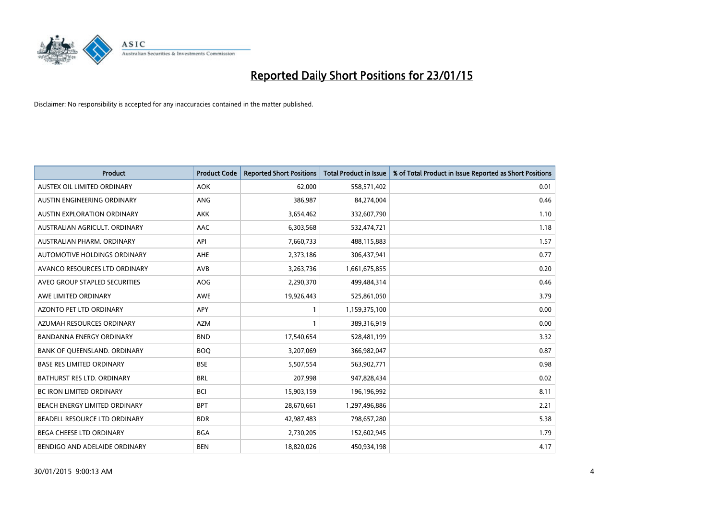

| <b>Product</b>                    | <b>Product Code</b> | <b>Reported Short Positions</b> | <b>Total Product in Issue</b> | % of Total Product in Issue Reported as Short Positions |
|-----------------------------------|---------------------|---------------------------------|-------------------------------|---------------------------------------------------------|
| AUSTEX OIL LIMITED ORDINARY       | <b>AOK</b>          | 62,000                          | 558,571,402                   | 0.01                                                    |
| AUSTIN ENGINEERING ORDINARY       | ANG                 | 386,987                         | 84,274,004                    | 0.46                                                    |
| AUSTIN EXPLORATION ORDINARY       | <b>AKK</b>          | 3,654,462                       | 332,607,790                   | 1.10                                                    |
| AUSTRALIAN AGRICULT. ORDINARY     | AAC                 | 6,303,568                       | 532,474,721                   | 1.18                                                    |
| AUSTRALIAN PHARM, ORDINARY        | API                 | 7,660,733                       | 488,115,883                   | 1.57                                                    |
| AUTOMOTIVE HOLDINGS ORDINARY      | <b>AHE</b>          | 2,373,186                       | 306,437,941                   | 0.77                                                    |
| AVANCO RESOURCES LTD ORDINARY     | <b>AVB</b>          | 3,263,736                       | 1,661,675,855                 | 0.20                                                    |
| AVEO GROUP STAPLED SECURITIES     | <b>AOG</b>          | 2,290,370                       | 499,484,314                   | 0.46                                                    |
| AWE LIMITED ORDINARY              | <b>AWE</b>          | 19,926,443                      | 525,861,050                   | 3.79                                                    |
| <b>AZONTO PET LTD ORDINARY</b>    | <b>APY</b>          | 1                               | 1,159,375,100                 | 0.00                                                    |
| AZUMAH RESOURCES ORDINARY         | <b>AZM</b>          |                                 | 389,316,919                   | 0.00                                                    |
| <b>BANDANNA ENERGY ORDINARY</b>   | <b>BND</b>          | 17,540,654                      | 528,481,199                   | 3.32                                                    |
| BANK OF QUEENSLAND. ORDINARY      | <b>BOQ</b>          | 3,207,069                       | 366,982,047                   | 0.87                                                    |
| <b>BASE RES LIMITED ORDINARY</b>  | <b>BSE</b>          | 5,507,554                       | 563,902,771                   | 0.98                                                    |
| <b>BATHURST RES LTD. ORDINARY</b> | <b>BRL</b>          | 207,998                         | 947,828,434                   | 0.02                                                    |
| <b>BC IRON LIMITED ORDINARY</b>   | <b>BCI</b>          | 15,903,159                      | 196,196,992                   | 8.11                                                    |
| BEACH ENERGY LIMITED ORDINARY     | <b>BPT</b>          | 28,670,661                      | 1,297,496,886                 | 2.21                                                    |
| BEADELL RESOURCE LTD ORDINARY     | <b>BDR</b>          | 42,987,483                      | 798,657,280                   | 5.38                                                    |
| <b>BEGA CHEESE LTD ORDINARY</b>   | <b>BGA</b>          | 2,730,205                       | 152,602,945                   | 1.79                                                    |
| BENDIGO AND ADELAIDE ORDINARY     | <b>BEN</b>          | 18,820,026                      | 450,934,198                   | 4.17                                                    |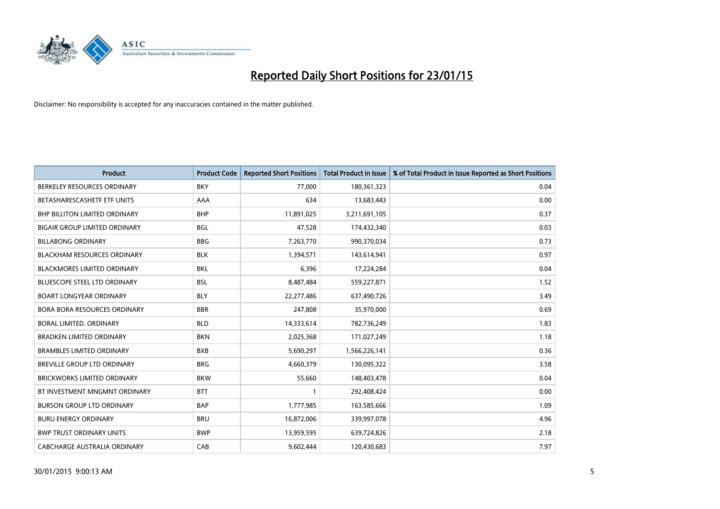

| <b>Product</b>                       | <b>Product Code</b> | <b>Reported Short Positions</b> | <b>Total Product in Issue</b> | % of Total Product in Issue Reported as Short Positions |
|--------------------------------------|---------------------|---------------------------------|-------------------------------|---------------------------------------------------------|
| BERKELEY RESOURCES ORDINARY          | <b>BKY</b>          | 77,000                          | 180,361,323                   | 0.04                                                    |
| BETASHARESCASHETF ETF UNITS          | AAA                 | 634                             | 13,683,443                    | 0.00                                                    |
| <b>BHP BILLITON LIMITED ORDINARY</b> | <b>BHP</b>          | 11,891,025                      | 3,211,691,105                 | 0.37                                                    |
| <b>BIGAIR GROUP LIMITED ORDINARY</b> | <b>BGL</b>          | 47,528                          | 174,432,340                   | 0.03                                                    |
| <b>BILLABONG ORDINARY</b>            | <b>BBG</b>          | 7,263,770                       | 990,370,034                   | 0.73                                                    |
| <b>BLACKHAM RESOURCES ORDINARY</b>   | <b>BLK</b>          | 1,394,571                       | 143,614,941                   | 0.97                                                    |
| <b>BLACKMORES LIMITED ORDINARY</b>   | <b>BKL</b>          | 6,396                           | 17,224,284                    | 0.04                                                    |
| <b>BLUESCOPE STEEL LTD ORDINARY</b>  | <b>BSL</b>          | 8,487,484                       | 559,227,871                   | 1.52                                                    |
| <b>BOART LONGYEAR ORDINARY</b>       | <b>BLY</b>          | 22,277,486                      | 637,490,726                   | 3.49                                                    |
| <b>BORA BORA RESOURCES ORDINARY</b>  | <b>BBR</b>          | 247,808                         | 35,970,000                    | 0.69                                                    |
| BORAL LIMITED. ORDINARY              | <b>BLD</b>          | 14,333,614                      | 782,736,249                   | 1.83                                                    |
| <b>BRADKEN LIMITED ORDINARY</b>      | <b>BKN</b>          | 2,025,368                       | 171,027,249                   | 1.18                                                    |
| <b>BRAMBLES LIMITED ORDINARY</b>     | <b>BXB</b>          | 5,690,297                       | 1,566,226,141                 | 0.36                                                    |
| BREVILLE GROUP LTD ORDINARY          | <b>BRG</b>          | 4,660,379                       | 130,095,322                   | 3.58                                                    |
| <b>BRICKWORKS LIMITED ORDINARY</b>   | <b>BKW</b>          | 55,660                          | 148,403,478                   | 0.04                                                    |
| BT INVESTMENT MNGMNT ORDINARY        | <b>BTT</b>          | $\mathbf{1}$                    | 292,408,424                   | 0.00                                                    |
| <b>BURSON GROUP LTD ORDINARY</b>     | <b>BAP</b>          | 1,777,985                       | 163,585,666                   | 1.09                                                    |
| <b>BURU ENERGY ORDINARY</b>          | <b>BRU</b>          | 16,872,006                      | 339,997,078                   | 4.96                                                    |
| <b>BWP TRUST ORDINARY UNITS</b>      | <b>BWP</b>          | 13,959,595                      | 639,724,826                   | 2.18                                                    |
| CABCHARGE AUSTRALIA ORDINARY         | CAB                 | 9,602,444                       | 120,430,683                   | 7.97                                                    |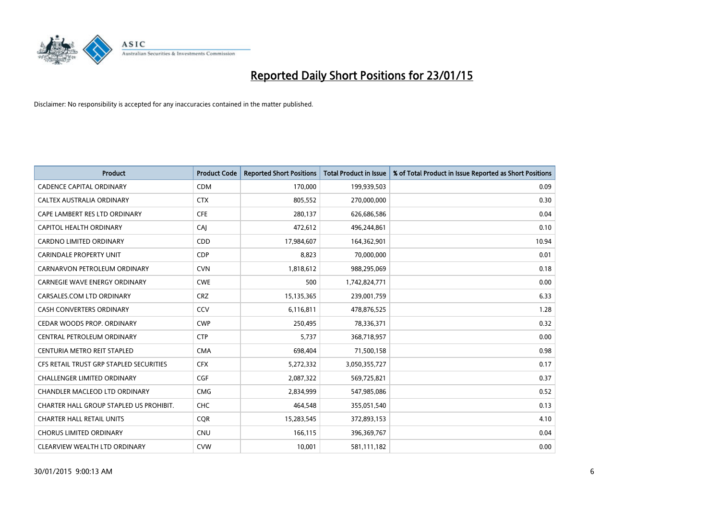

| <b>Product</b>                          | <b>Product Code</b> | <b>Reported Short Positions</b> | Total Product in Issue | % of Total Product in Issue Reported as Short Positions |
|-----------------------------------------|---------------------|---------------------------------|------------------------|---------------------------------------------------------|
| <b>CADENCE CAPITAL ORDINARY</b>         | <b>CDM</b>          | 170,000                         | 199,939,503            | 0.09                                                    |
| CALTEX AUSTRALIA ORDINARY               | <b>CTX</b>          | 805,552                         | 270,000,000            | 0.30                                                    |
| CAPE LAMBERT RES LTD ORDINARY           | <b>CFE</b>          | 280,137                         | 626,686,586            | 0.04                                                    |
| CAPITOL HEALTH ORDINARY                 | CAI                 | 472,612                         | 496,244,861            | 0.10                                                    |
| <b>CARDNO LIMITED ORDINARY</b>          | CDD                 | 17,984,607                      | 164,362,901            | 10.94                                                   |
| <b>CARINDALE PROPERTY UNIT</b>          | <b>CDP</b>          | 8,823                           | 70,000,000             | 0.01                                                    |
| CARNARVON PETROLEUM ORDINARY            | <b>CVN</b>          | 1,818,612                       | 988,295,069            | 0.18                                                    |
| <b>CARNEGIE WAVE ENERGY ORDINARY</b>    | <b>CWE</b>          | 500                             | 1,742,824,771          | 0.00                                                    |
| CARSALES.COM LTD ORDINARY               | <b>CRZ</b>          | 15,135,365                      | 239,001,759            | 6.33                                                    |
| <b>CASH CONVERTERS ORDINARY</b>         | CCV                 | 6,116,811                       | 478,876,525            | 1.28                                                    |
| CEDAR WOODS PROP. ORDINARY              | <b>CWP</b>          | 250,495                         | 78,336,371             | 0.32                                                    |
| CENTRAL PETROLEUM ORDINARY              | <b>CTP</b>          | 5,737                           | 368,718,957            | 0.00                                                    |
| CENTURIA METRO REIT STAPLED             | <b>CMA</b>          | 698,404                         | 71,500,158             | 0.98                                                    |
| CFS RETAIL TRUST GRP STAPLED SECURITIES | <b>CFX</b>          | 5,272,332                       | 3,050,355,727          | 0.17                                                    |
| <b>CHALLENGER LIMITED ORDINARY</b>      | CGF                 | 2,087,322                       | 569,725,821            | 0.37                                                    |
| <b>CHANDLER MACLEOD LTD ORDINARY</b>    | <b>CMG</b>          | 2,834,999                       | 547,985,086            | 0.52                                                    |
| CHARTER HALL GROUP STAPLED US PROHIBIT. | <b>CHC</b>          | 464,548                         | 355,051,540            | 0.13                                                    |
| <b>CHARTER HALL RETAIL UNITS</b>        | <b>CQR</b>          | 15,283,545                      | 372,893,153            | 4.10                                                    |
| <b>CHORUS LIMITED ORDINARY</b>          | <b>CNU</b>          | 166,115                         | 396,369,767            | 0.04                                                    |
| CLEARVIEW WEALTH LTD ORDINARY           | <b>CVW</b>          | 10,001                          | 581,111,182            | 0.00                                                    |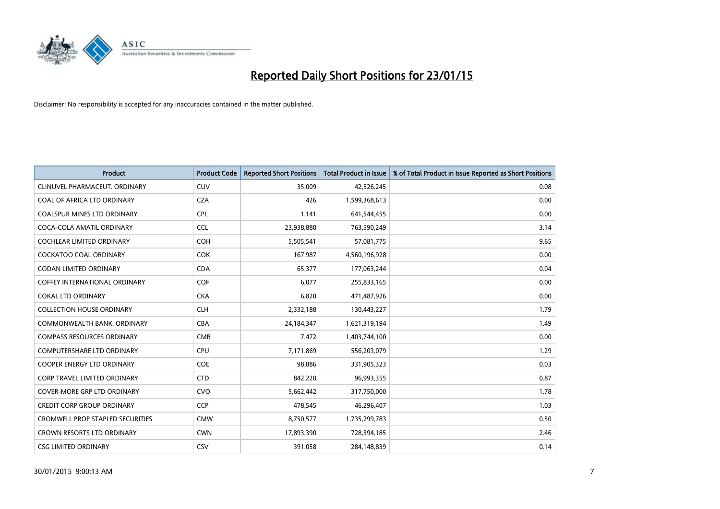

| <b>Product</b>                          | <b>Product Code</b> | <b>Reported Short Positions</b> | <b>Total Product in Issue</b> | % of Total Product in Issue Reported as Short Positions |
|-----------------------------------------|---------------------|---------------------------------|-------------------------------|---------------------------------------------------------|
| CLINUVEL PHARMACEUT, ORDINARY           | <b>CUV</b>          | 35,009                          | 42,526,245                    | 0.08                                                    |
| COAL OF AFRICA LTD ORDINARY             | <b>CZA</b>          | 426                             | 1,599,368,613                 | 0.00                                                    |
| <b>COALSPUR MINES LTD ORDINARY</b>      | <b>CPL</b>          | 1.141                           | 641,544,455                   | 0.00                                                    |
| COCA-COLA AMATIL ORDINARY               | <b>CCL</b>          | 23,938,880                      | 763,590,249                   | 3.14                                                    |
| <b>COCHLEAR LIMITED ORDINARY</b>        | <b>COH</b>          | 5,505,541                       | 57,081,775                    | 9.65                                                    |
| <b>COCKATOO COAL ORDINARY</b>           | <b>COK</b>          | 167,987                         | 4,560,196,928                 | 0.00                                                    |
| <b>CODAN LIMITED ORDINARY</b>           | <b>CDA</b>          | 65.377                          | 177,063,244                   | 0.04                                                    |
| <b>COFFEY INTERNATIONAL ORDINARY</b>    | <b>COF</b>          | 6,077                           | 255,833,165                   | 0.00                                                    |
| <b>COKAL LTD ORDINARY</b>               | <b>CKA</b>          | 6,820                           | 471,487,926                   | 0.00                                                    |
| <b>COLLECTION HOUSE ORDINARY</b>        | <b>CLH</b>          | 2,332,188                       | 130,443,227                   | 1.79                                                    |
| COMMONWEALTH BANK, ORDINARY             | <b>CBA</b>          | 24,184,347                      | 1,621,319,194                 | 1.49                                                    |
| <b>COMPASS RESOURCES ORDINARY</b>       | <b>CMR</b>          | 7,472                           | 1,403,744,100                 | 0.00                                                    |
| <b>COMPUTERSHARE LTD ORDINARY</b>       | <b>CPU</b>          | 7,171,869                       | 556,203,079                   | 1.29                                                    |
| <b>COOPER ENERGY LTD ORDINARY</b>       | <b>COE</b>          | 98,886                          | 331,905,323                   | 0.03                                                    |
| <b>CORP TRAVEL LIMITED ORDINARY</b>     | <b>CTD</b>          | 842,220                         | 96,993,355                    | 0.87                                                    |
| <b>COVER-MORE GRP LTD ORDINARY</b>      | <b>CVO</b>          | 5,662,442                       | 317,750,000                   | 1.78                                                    |
| <b>CREDIT CORP GROUP ORDINARY</b>       | <b>CCP</b>          | 478,545                         | 46,296,407                    | 1.03                                                    |
| <b>CROMWELL PROP STAPLED SECURITIES</b> | <b>CMW</b>          | 8,750,577                       | 1,735,299,783                 | 0.50                                                    |
| <b>CROWN RESORTS LTD ORDINARY</b>       | <b>CWN</b>          | 17,893,390                      | 728,394,185                   | 2.46                                                    |
| <b>CSG LIMITED ORDINARY</b>             | CSV                 | 391,058                         | 284,148,839                   | 0.14                                                    |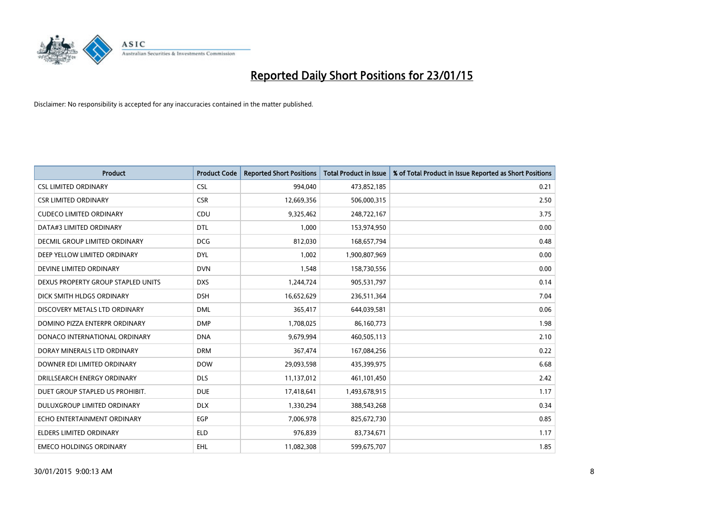

| <b>Product</b>                     | <b>Product Code</b> | <b>Reported Short Positions</b> | <b>Total Product in Issue</b> | % of Total Product in Issue Reported as Short Positions |
|------------------------------------|---------------------|---------------------------------|-------------------------------|---------------------------------------------------------|
| <b>CSL LIMITED ORDINARY</b>        | <b>CSL</b>          | 994,040                         | 473,852,185                   | 0.21                                                    |
| <b>CSR LIMITED ORDINARY</b>        | <b>CSR</b>          | 12,669,356                      | 506,000,315                   | 2.50                                                    |
| <b>CUDECO LIMITED ORDINARY</b>     | <b>CDU</b>          | 9,325,462                       | 248,722,167                   | 3.75                                                    |
| DATA#3 LIMITED ORDINARY            | <b>DTL</b>          | 1,000                           | 153,974,950                   | 0.00                                                    |
| DECMIL GROUP LIMITED ORDINARY      | <b>DCG</b>          | 812,030                         | 168,657,794                   | 0.48                                                    |
| DEEP YELLOW LIMITED ORDINARY       | <b>DYL</b>          | 1,002                           | 1,900,807,969                 | 0.00                                                    |
| DEVINE LIMITED ORDINARY            | <b>DVN</b>          | 1,548                           | 158,730,556                   | 0.00                                                    |
| DEXUS PROPERTY GROUP STAPLED UNITS | <b>DXS</b>          | 1,244,724                       | 905,531,797                   | 0.14                                                    |
| DICK SMITH HLDGS ORDINARY          | <b>DSH</b>          | 16,652,629                      | 236,511,364                   | 7.04                                                    |
| DISCOVERY METALS LTD ORDINARY      | <b>DML</b>          | 365,417                         | 644,039,581                   | 0.06                                                    |
| DOMINO PIZZA ENTERPR ORDINARY      | <b>DMP</b>          | 1,708,025                       | 86,160,773                    | 1.98                                                    |
| DONACO INTERNATIONAL ORDINARY      | <b>DNA</b>          | 9,679,994                       | 460,505,113                   | 2.10                                                    |
| DORAY MINERALS LTD ORDINARY        | <b>DRM</b>          | 367,474                         | 167,084,256                   | 0.22                                                    |
| DOWNER EDI LIMITED ORDINARY        | <b>DOW</b>          | 29,093,598                      | 435,399,975                   | 6.68                                                    |
| DRILLSEARCH ENERGY ORDINARY        | <b>DLS</b>          | 11,137,012                      | 461,101,450                   | 2.42                                                    |
| DUET GROUP STAPLED US PROHIBIT.    | <b>DUE</b>          | 17,418,641                      | 1,493,678,915                 | 1.17                                                    |
| DULUXGROUP LIMITED ORDINARY        | <b>DLX</b>          | 1,330,294                       | 388,543,268                   | 0.34                                                    |
| ECHO ENTERTAINMENT ORDINARY        | <b>EGP</b>          | 7,006,978                       | 825,672,730                   | 0.85                                                    |
| <b>ELDERS LIMITED ORDINARY</b>     | <b>ELD</b>          | 976,839                         | 83,734,671                    | 1.17                                                    |
| <b>EMECO HOLDINGS ORDINARY</b>     | <b>EHL</b>          | 11,082,308                      | 599,675,707                   | 1.85                                                    |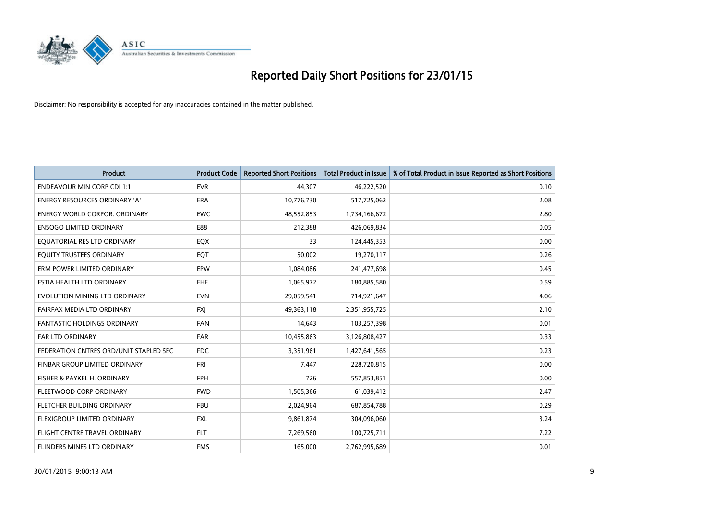

| <b>Product</b>                         | <b>Product Code</b> | <b>Reported Short Positions</b> | <b>Total Product in Issue</b> | % of Total Product in Issue Reported as Short Positions |
|----------------------------------------|---------------------|---------------------------------|-------------------------------|---------------------------------------------------------|
| <b>ENDEAVOUR MIN CORP CDI 1:1</b>      | <b>EVR</b>          | 44.307                          | 46,222,520                    | 0.10                                                    |
| ENERGY RESOURCES ORDINARY 'A'          | ERA                 | 10,776,730                      | 517,725,062                   | 2.08                                                    |
| <b>ENERGY WORLD CORPOR, ORDINARY</b>   | <b>EWC</b>          | 48,552,853                      | 1,734,166,672                 | 2.80                                                    |
| <b>ENSOGO LIMITED ORDINARY</b>         | E88                 | 212,388                         | 426,069,834                   | 0.05                                                    |
| EQUATORIAL RES LTD ORDINARY            | <b>EQX</b>          | 33                              | 124,445,353                   | 0.00                                                    |
| EQUITY TRUSTEES ORDINARY               | EQT                 | 50,002                          | 19,270,117                    | 0.26                                                    |
| ERM POWER LIMITED ORDINARY             | <b>EPW</b>          | 1,084,086                       | 241,477,698                   | 0.45                                                    |
| ESTIA HEALTH LTD ORDINARY              | <b>EHE</b>          | 1,065,972                       | 180,885,580                   | 0.59                                                    |
| EVOLUTION MINING LTD ORDINARY          | <b>EVN</b>          | 29,059,541                      | 714,921,647                   | 4.06                                                    |
| FAIRFAX MEDIA LTD ORDINARY             | <b>FXI</b>          | 49,363,118                      | 2,351,955,725                 | 2.10                                                    |
| FANTASTIC HOLDINGS ORDINARY            | <b>FAN</b>          | 14,643                          | 103,257,398                   | 0.01                                                    |
| <b>FAR LTD ORDINARY</b>                | <b>FAR</b>          | 10,455,863                      | 3,126,808,427                 | 0.33                                                    |
| FEDERATION CNTRES ORD/UNIT STAPLED SEC | <b>FDC</b>          | 3,351,961                       | 1,427,641,565                 | 0.23                                                    |
| FINBAR GROUP LIMITED ORDINARY          | <b>FRI</b>          | 7,447                           | 228,720,815                   | 0.00                                                    |
| FISHER & PAYKEL H. ORDINARY            | <b>FPH</b>          | 726                             | 557,853,851                   | 0.00                                                    |
| FLEETWOOD CORP ORDINARY                | <b>FWD</b>          | 1,505,366                       | 61,039,412                    | 2.47                                                    |
| FLETCHER BUILDING ORDINARY             | <b>FBU</b>          | 2,024,964                       | 687,854,788                   | 0.29                                                    |
| FLEXIGROUP LIMITED ORDINARY            | <b>FXL</b>          | 9,861,874                       | 304,096,060                   | 3.24                                                    |
| FLIGHT CENTRE TRAVEL ORDINARY          | <b>FLT</b>          | 7,269,560                       | 100,725,711                   | 7.22                                                    |
| FLINDERS MINES LTD ORDINARY            | <b>FMS</b>          | 165,000                         | 2,762,995,689                 | 0.01                                                    |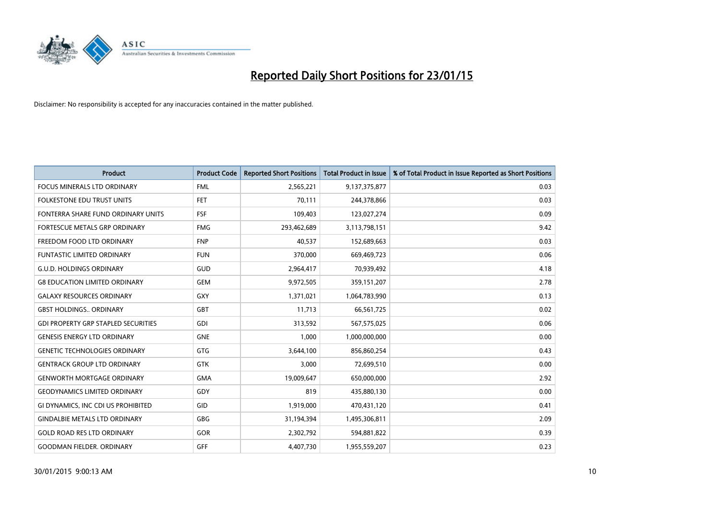

| <b>Product</b>                             | <b>Product Code</b> | <b>Reported Short Positions</b> | Total Product in Issue | % of Total Product in Issue Reported as Short Positions |
|--------------------------------------------|---------------------|---------------------------------|------------------------|---------------------------------------------------------|
| <b>FOCUS MINERALS LTD ORDINARY</b>         | <b>FML</b>          | 2,565,221                       | 9,137,375,877          | 0.03                                                    |
| <b>FOLKESTONE EDU TRUST UNITS</b>          | FET                 | 70,111                          | 244,378,866            | 0.03                                                    |
| FONTERRA SHARE FUND ORDINARY UNITS         | <b>FSF</b>          | 109,403                         | 123,027,274            | 0.09                                                    |
| FORTESCUE METALS GRP ORDINARY              | <b>FMG</b>          | 293,462,689                     | 3,113,798,151          | 9.42                                                    |
| FREEDOM FOOD LTD ORDINARY                  | <b>FNP</b>          | 40,537                          | 152,689,663            | 0.03                                                    |
| <b>FUNTASTIC LIMITED ORDINARY</b>          | <b>FUN</b>          | 370,000                         | 669,469,723            | 0.06                                                    |
| <b>G.U.D. HOLDINGS ORDINARY</b>            | GUD                 | 2,964,417                       | 70,939,492             | 4.18                                                    |
| <b>G8 EDUCATION LIMITED ORDINARY</b>       | <b>GEM</b>          | 9,972,505                       | 359,151,207            | 2.78                                                    |
| <b>GALAXY RESOURCES ORDINARY</b>           | GXY                 | 1,371,021                       | 1,064,783,990          | 0.13                                                    |
| <b>GBST HOLDINGS., ORDINARY</b>            | GBT                 | 11,713                          | 66,561,725             | 0.02                                                    |
| <b>GDI PROPERTY GRP STAPLED SECURITIES</b> | <b>GDI</b>          | 313,592                         | 567,575,025            | 0.06                                                    |
| <b>GENESIS ENERGY LTD ORDINARY</b>         | <b>GNE</b>          | 1,000                           | 1,000,000,000          | 0.00                                                    |
| <b>GENETIC TECHNOLOGIES ORDINARY</b>       | GTG                 | 3,644,100                       | 856,860,254            | 0.43                                                    |
| <b>GENTRACK GROUP LTD ORDINARY</b>         | <b>GTK</b>          | 3,000                           | 72,699,510             | 0.00                                                    |
| <b>GENWORTH MORTGAGE ORDINARY</b>          | <b>GMA</b>          | 19,009,647                      | 650,000,000            | 2.92                                                    |
| <b>GEODYNAMICS LIMITED ORDINARY</b>        | GDY                 | 819                             | 435,880,130            | 0.00                                                    |
| GI DYNAMICS, INC CDI US PROHIBITED         | GID                 | 1,919,000                       | 470,431,120            | 0.41                                                    |
| <b>GINDALBIE METALS LTD ORDINARY</b>       | GBG                 | 31,194,394                      | 1,495,306,811          | 2.09                                                    |
| <b>GOLD ROAD RES LTD ORDINARY</b>          | GOR                 | 2,302,792                       | 594,881,822            | 0.39                                                    |
| <b>GOODMAN FIELDER, ORDINARY</b>           | GFF                 | 4,407,730                       | 1,955,559,207          | 0.23                                                    |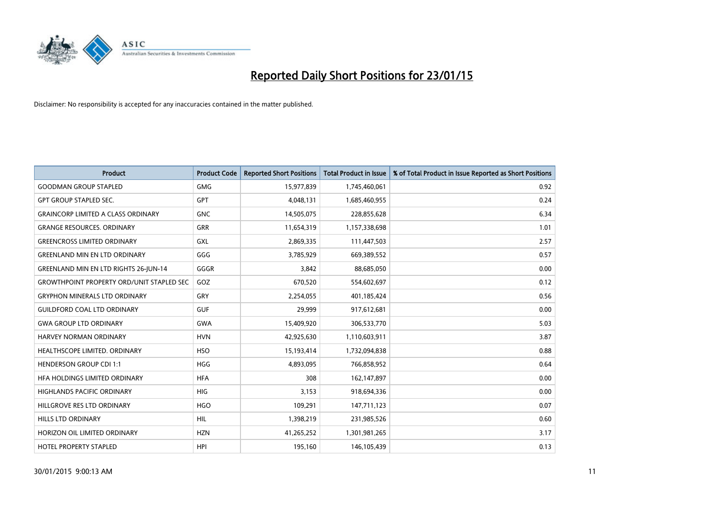

| <b>Product</b>                                   | <b>Product Code</b> | <b>Reported Short Positions</b> | <b>Total Product in Issue</b> | % of Total Product in Issue Reported as Short Positions |
|--------------------------------------------------|---------------------|---------------------------------|-------------------------------|---------------------------------------------------------|
| <b>GOODMAN GROUP STAPLED</b>                     | <b>GMG</b>          | 15,977,839                      | 1,745,460,061                 | 0.92                                                    |
| <b>GPT GROUP STAPLED SEC.</b>                    | <b>GPT</b>          | 4,048,131                       | 1,685,460,955                 | 0.24                                                    |
| <b>GRAINCORP LIMITED A CLASS ORDINARY</b>        | <b>GNC</b>          | 14,505,075                      | 228,855,628                   | 6.34                                                    |
| <b>GRANGE RESOURCES, ORDINARY</b>                | <b>GRR</b>          | 11,654,319                      | 1,157,338,698                 | 1.01                                                    |
| <b>GREENCROSS LIMITED ORDINARY</b>               | <b>GXL</b>          | 2,869,335                       | 111,447,503                   | 2.57                                                    |
| <b>GREENLAND MIN EN LTD ORDINARY</b>             | GGG                 | 3,785,929                       | 669,389,552                   | 0.57                                                    |
| <b>GREENLAND MIN EN LTD RIGHTS 26-JUN-14</b>     | GGGR                | 3,842                           | 88,685,050                    | 0.00                                                    |
| <b>GROWTHPOINT PROPERTY ORD/UNIT STAPLED SEC</b> | GOZ                 | 670,520                         | 554,602,697                   | 0.12                                                    |
| <b>GRYPHON MINERALS LTD ORDINARY</b>             | GRY                 | 2,254,055                       | 401,185,424                   | 0.56                                                    |
| <b>GUILDFORD COAL LTD ORDINARY</b>               | <b>GUF</b>          | 29,999                          | 917,612,681                   | 0.00                                                    |
| <b>GWA GROUP LTD ORDINARY</b>                    | <b>GWA</b>          | 15,409,920                      | 306,533,770                   | 5.03                                                    |
| HARVEY NORMAN ORDINARY                           | <b>HVN</b>          | 42,925,630                      | 1,110,603,911                 | 3.87                                                    |
| HEALTHSCOPE LIMITED. ORDINARY                    | <b>HSO</b>          | 15,193,414                      | 1,732,094,838                 | 0.88                                                    |
| <b>HENDERSON GROUP CDI 1:1</b>                   | <b>HGG</b>          | 4,893,095                       | 766,858,952                   | 0.64                                                    |
| HFA HOLDINGS LIMITED ORDINARY                    | <b>HFA</b>          | 308                             | 162,147,897                   | 0.00                                                    |
| HIGHLANDS PACIFIC ORDINARY                       | HIG                 | 3,153                           | 918,694,336                   | 0.00                                                    |
| HILLGROVE RES LTD ORDINARY                       | <b>HGO</b>          | 109,291                         | 147,711,123                   | 0.07                                                    |
| HILLS LTD ORDINARY                               | HIL                 | 1,398,219                       | 231,985,526                   | 0.60                                                    |
| HORIZON OIL LIMITED ORDINARY                     | <b>HZN</b>          | 41,265,252                      | 1,301,981,265                 | 3.17                                                    |
| <b>HOTEL PROPERTY STAPLED</b>                    | <b>HPI</b>          | 195,160                         | 146,105,439                   | 0.13                                                    |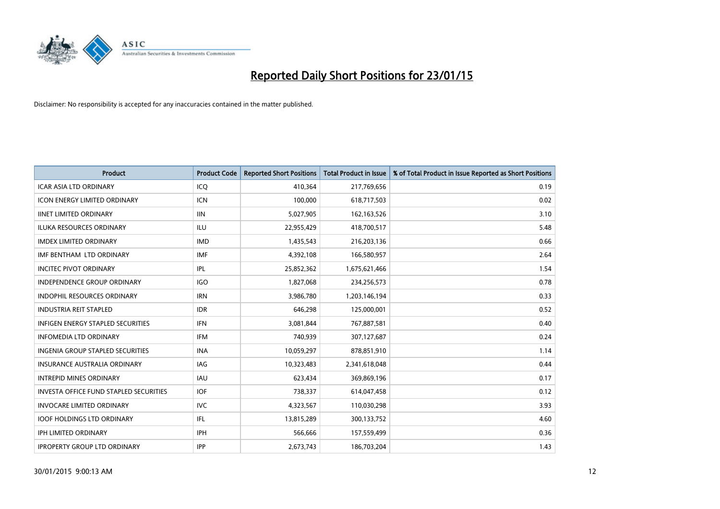

| <b>Product</b>                                | <b>Product Code</b> | <b>Reported Short Positions</b> | <b>Total Product in Issue</b> | % of Total Product in Issue Reported as Short Positions |
|-----------------------------------------------|---------------------|---------------------------------|-------------------------------|---------------------------------------------------------|
| <b>ICAR ASIA LTD ORDINARY</b>                 | ICQ                 | 410,364                         | 217,769,656                   | 0.19                                                    |
| <b>ICON ENERGY LIMITED ORDINARY</b>           | <b>ICN</b>          | 100,000                         | 618,717,503                   | 0.02                                                    |
| <b>IINET LIMITED ORDINARY</b>                 | <b>IIN</b>          | 5,027,905                       | 162,163,526                   | 3.10                                                    |
| ILUKA RESOURCES ORDINARY                      | ILU                 | 22,955,429                      | 418,700,517                   | 5.48                                                    |
| <b>IMDEX LIMITED ORDINARY</b>                 | <b>IMD</b>          | 1,435,543                       | 216,203,136                   | 0.66                                                    |
| IMF BENTHAM LTD ORDINARY                      | <b>IMF</b>          | 4,392,108                       | 166,580,957                   | 2.64                                                    |
| <b>INCITEC PIVOT ORDINARY</b>                 | IPL                 | 25,852,362                      | 1,675,621,466                 | 1.54                                                    |
| <b>INDEPENDENCE GROUP ORDINARY</b>            | <b>IGO</b>          | 1,827,068                       | 234,256,573                   | 0.78                                                    |
| INDOPHIL RESOURCES ORDINARY                   | <b>IRN</b>          | 3,986,780                       | 1,203,146,194                 | 0.33                                                    |
| <b>INDUSTRIA REIT STAPLED</b>                 | <b>IDR</b>          | 646,298                         | 125,000,001                   | 0.52                                                    |
| <b>INFIGEN ENERGY STAPLED SECURITIES</b>      | <b>IFN</b>          | 3,081,844                       | 767,887,581                   | 0.40                                                    |
| <b>INFOMEDIA LTD ORDINARY</b>                 | IFM                 | 740,939                         | 307,127,687                   | 0.24                                                    |
| <b>INGENIA GROUP STAPLED SECURITIES</b>       | <b>INA</b>          | 10,059,297                      | 878,851,910                   | 1.14                                                    |
| <b>INSURANCE AUSTRALIA ORDINARY</b>           | IAG                 | 10,323,483                      | 2,341,618,048                 | 0.44                                                    |
| <b>INTREPID MINES ORDINARY</b>                | <b>IAU</b>          | 623,434                         | 369,869,196                   | 0.17                                                    |
| <b>INVESTA OFFICE FUND STAPLED SECURITIES</b> | <b>IOF</b>          | 738,337                         | 614,047,458                   | 0.12                                                    |
| <b>INVOCARE LIMITED ORDINARY</b>              | <b>IVC</b>          | 4,323,567                       | 110,030,298                   | 3.93                                                    |
| <b>IOOF HOLDINGS LTD ORDINARY</b>             | IFL                 | 13,815,289                      | 300,133,752                   | 4.60                                                    |
| <b>IPH LIMITED ORDINARY</b>                   | <b>IPH</b>          | 566,666                         | 157,559,499                   | 0.36                                                    |
| <b>IPROPERTY GROUP LTD ORDINARY</b>           | <b>IPP</b>          | 2,673,743                       | 186,703,204                   | 1.43                                                    |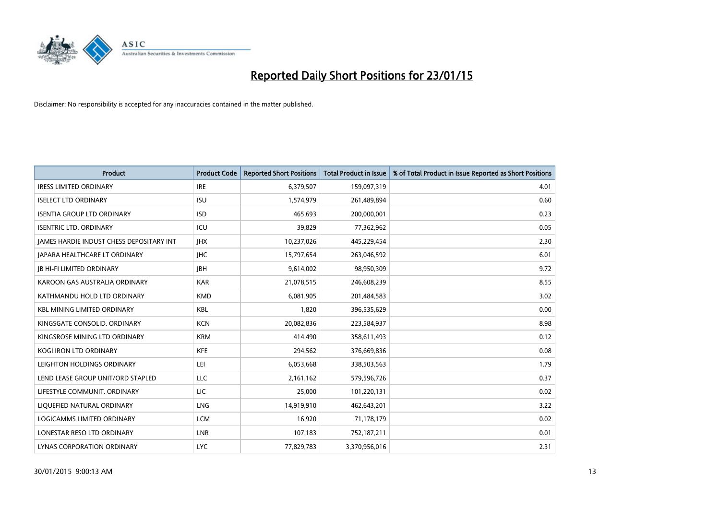

| <b>Product</b>                           | <b>Product Code</b> | <b>Reported Short Positions</b> | <b>Total Product in Issue</b> | % of Total Product in Issue Reported as Short Positions |
|------------------------------------------|---------------------|---------------------------------|-------------------------------|---------------------------------------------------------|
| <b>IRESS LIMITED ORDINARY</b>            | <b>IRE</b>          | 6,379,507                       | 159,097,319                   | 4.01                                                    |
| <b>ISELECT LTD ORDINARY</b>              | <b>ISU</b>          | 1,574,979                       | 261,489,894                   | 0.60                                                    |
| <b>ISENTIA GROUP LTD ORDINARY</b>        | <b>ISD</b>          | 465,693                         | 200,000,001                   | 0.23                                                    |
| <b>ISENTRIC LTD. ORDINARY</b>            | ICU                 | 39,829                          | 77,362,962                    | 0.05                                                    |
| JAMES HARDIE INDUST CHESS DEPOSITARY INT | <b>IHX</b>          | 10,237,026                      | 445,229,454                   | 2.30                                                    |
| <b>JAPARA HEALTHCARE LT ORDINARY</b>     | <b>IHC</b>          | 15,797,654                      | 263,046,592                   | 6.01                                                    |
| <b>JB HI-FI LIMITED ORDINARY</b>         | <b>JBH</b>          | 9,614,002                       | 98,950,309                    | 9.72                                                    |
| KAROON GAS AUSTRALIA ORDINARY            | <b>KAR</b>          | 21,078,515                      | 246,608,239                   | 8.55                                                    |
| KATHMANDU HOLD LTD ORDINARY              | <b>KMD</b>          | 6,081,905                       | 201,484,583                   | 3.02                                                    |
| <b>KBL MINING LIMITED ORDINARY</b>       | KBL                 | 1,820                           | 396,535,629                   | 0.00                                                    |
| KINGSGATE CONSOLID. ORDINARY             | <b>KCN</b>          | 20,082,836                      | 223,584,937                   | 8.98                                                    |
| KINGSROSE MINING LTD ORDINARY            | <b>KRM</b>          | 414,490                         | 358,611,493                   | 0.12                                                    |
| <b>KOGI IRON LTD ORDINARY</b>            | <b>KFE</b>          | 294,562                         | 376,669,836                   | 0.08                                                    |
| LEIGHTON HOLDINGS ORDINARY               | LEI                 | 6,053,668                       | 338,503,563                   | 1.79                                                    |
| LEND LEASE GROUP UNIT/ORD STAPLED        | LLC                 | 2,161,162                       | 579,596,726                   | 0.37                                                    |
| LIFESTYLE COMMUNIT. ORDINARY             | LIC                 | 25,000                          | 101,220,131                   | 0.02                                                    |
| LIQUEFIED NATURAL ORDINARY               | <b>LNG</b>          | 14,919,910                      | 462,643,201                   | 3.22                                                    |
| LOGICAMMS LIMITED ORDINARY               | <b>LCM</b>          | 16.920                          | 71,178,179                    | 0.02                                                    |
| LONESTAR RESO LTD ORDINARY               | LNR                 | 107,183                         | 752,187,211                   | 0.01                                                    |
| LYNAS CORPORATION ORDINARY               | LYC.                | 77,829,783                      | 3,370,956,016                 | 2.31                                                    |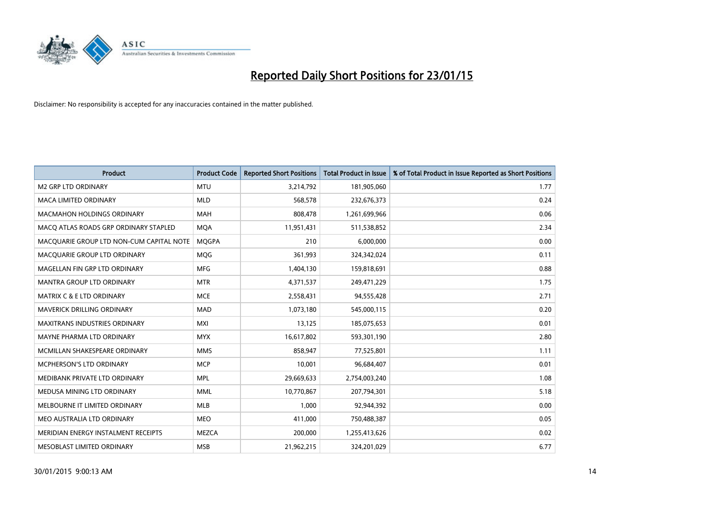

| <b>Product</b>                           | <b>Product Code</b> | <b>Reported Short Positions</b> | <b>Total Product in Issue</b> | % of Total Product in Issue Reported as Short Positions |
|------------------------------------------|---------------------|---------------------------------|-------------------------------|---------------------------------------------------------|
| <b>M2 GRP LTD ORDINARY</b>               | <b>MTU</b>          | 3,214,792                       | 181,905,060                   | 1.77                                                    |
| <b>MACA LIMITED ORDINARY</b>             | <b>MLD</b>          | 568,578                         | 232,676,373                   | 0.24                                                    |
| <b>MACMAHON HOLDINGS ORDINARY</b>        | <b>MAH</b>          | 808,478                         | 1,261,699,966                 | 0.06                                                    |
| MACO ATLAS ROADS GRP ORDINARY STAPLED    | <b>MQA</b>          | 11,951,431                      | 511,538,852                   | 2.34                                                    |
| MACOUARIE GROUP LTD NON-CUM CAPITAL NOTE | <b>MOGPA</b>        | 210                             | 6,000,000                     | 0.00                                                    |
| MACQUARIE GROUP LTD ORDINARY             | <b>MQG</b>          | 361,993                         | 324,342,024                   | 0.11                                                    |
| MAGELLAN FIN GRP LTD ORDINARY            | <b>MFG</b>          | 1,404,130                       | 159,818,691                   | 0.88                                                    |
| MANTRA GROUP LTD ORDINARY                | <b>MTR</b>          | 4,371,537                       | 249,471,229                   | 1.75                                                    |
| <b>MATRIX C &amp; E LTD ORDINARY</b>     | <b>MCE</b>          | 2,558,431                       | 94,555,428                    | 2.71                                                    |
| MAVERICK DRILLING ORDINARY               | <b>MAD</b>          | 1,073,180                       | 545,000,115                   | 0.20                                                    |
| MAXITRANS INDUSTRIES ORDINARY            | <b>MXI</b>          | 13,125                          | 185,075,653                   | 0.01                                                    |
| MAYNE PHARMA LTD ORDINARY                | <b>MYX</b>          | 16,617,802                      | 593,301,190                   | 2.80                                                    |
| MCMILLAN SHAKESPEARE ORDINARY            | <b>MMS</b>          | 858,947                         | 77,525,801                    | 1.11                                                    |
| MCPHERSON'S LTD ORDINARY                 | <b>MCP</b>          | 10,001                          | 96,684,407                    | 0.01                                                    |
| MEDIBANK PRIVATE LTD ORDINARY            | <b>MPL</b>          | 29,669,633                      | 2,754,003,240                 | 1.08                                                    |
| MEDUSA MINING LTD ORDINARY               | <b>MML</b>          | 10,770,867                      | 207,794,301                   | 5.18                                                    |
| MELBOURNE IT LIMITED ORDINARY            | <b>MLB</b>          | 1,000                           | 92,944,392                    | 0.00                                                    |
| MEO AUSTRALIA LTD ORDINARY               | <b>MEO</b>          | 411,000                         | 750,488,387                   | 0.05                                                    |
| MERIDIAN ENERGY INSTALMENT RECEIPTS      | <b>MEZCA</b>        | 200,000                         | 1,255,413,626                 | 0.02                                                    |
| MESOBLAST LIMITED ORDINARY               | <b>MSB</b>          | 21,962,215                      | 324,201,029                   | 6.77                                                    |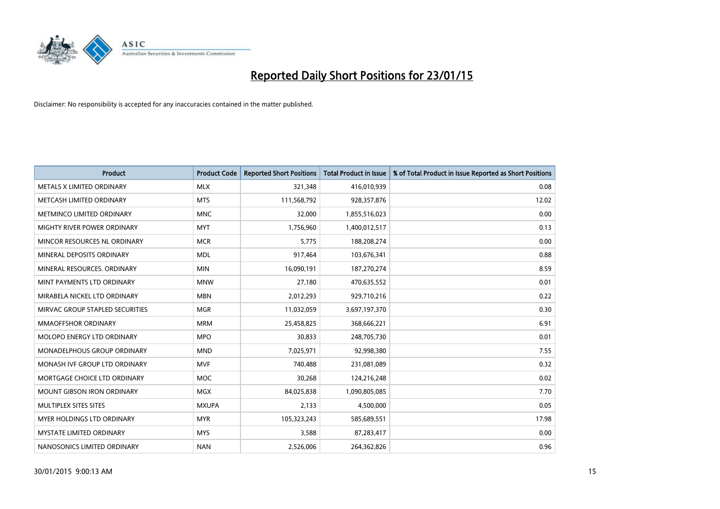

| <b>Product</b>                    | <b>Product Code</b> | <b>Reported Short Positions</b> | <b>Total Product in Issue</b> | % of Total Product in Issue Reported as Short Positions |
|-----------------------------------|---------------------|---------------------------------|-------------------------------|---------------------------------------------------------|
| METALS X LIMITED ORDINARY         | <b>MLX</b>          | 321,348                         | 416,010,939                   | 0.08                                                    |
| METCASH LIMITED ORDINARY          | <b>MTS</b>          | 111,568,792                     | 928,357,876                   | 12.02                                                   |
| METMINCO LIMITED ORDINARY         | <b>MNC</b>          | 32,000                          | 1,855,516,023                 | 0.00                                                    |
| MIGHTY RIVER POWER ORDINARY       | <b>MYT</b>          | 1,756,960                       | 1,400,012,517                 | 0.13                                                    |
| MINCOR RESOURCES NL ORDINARY      | <b>MCR</b>          | 5,775                           | 188,208,274                   | 0.00                                                    |
| MINERAL DEPOSITS ORDINARY         | <b>MDL</b>          | 917,464                         | 103,676,341                   | 0.88                                                    |
| MINERAL RESOURCES, ORDINARY       | <b>MIN</b>          | 16,090,191                      | 187,270,274                   | 8.59                                                    |
| MINT PAYMENTS LTD ORDINARY        | <b>MNW</b>          | 27,180                          | 470,635,552                   | 0.01                                                    |
| MIRABELA NICKEL LTD ORDINARY      | <b>MBN</b>          | 2,012,293                       | 929,710,216                   | 0.22                                                    |
| MIRVAC GROUP STAPLED SECURITIES   | <b>MGR</b>          | 11,032,059                      | 3,697,197,370                 | 0.30                                                    |
| MMAOFFSHOR ORDINARY               | <b>MRM</b>          | 25,458,825                      | 368,666,221                   | 6.91                                                    |
| MOLOPO ENERGY LTD ORDINARY        | <b>MPO</b>          | 30,833                          | 248,705,730                   | 0.01                                                    |
| MONADELPHOUS GROUP ORDINARY       | <b>MND</b>          | 7,025,971                       | 92,998,380                    | 7.55                                                    |
| MONASH IVF GROUP LTD ORDINARY     | <b>MVF</b>          | 740,488                         | 231,081,089                   | 0.32                                                    |
| MORTGAGE CHOICE LTD ORDINARY      | <b>MOC</b>          | 30,268                          | 124,216,248                   | 0.02                                                    |
| <b>MOUNT GIBSON IRON ORDINARY</b> | MGX                 | 84,025,838                      | 1,090,805,085                 | 7.70                                                    |
| MULTIPLEX SITES SITES             | <b>MXUPA</b>        | 2,133                           | 4,500,000                     | 0.05                                                    |
| MYER HOLDINGS LTD ORDINARY        | <b>MYR</b>          | 105,323,243                     | 585,689,551                   | 17.98                                                   |
| <b>MYSTATE LIMITED ORDINARY</b>   | <b>MYS</b>          | 3,588                           | 87,283,417                    | 0.00                                                    |
| NANOSONICS LIMITED ORDINARY       | <b>NAN</b>          | 2,526,006                       | 264,362,826                   | 0.96                                                    |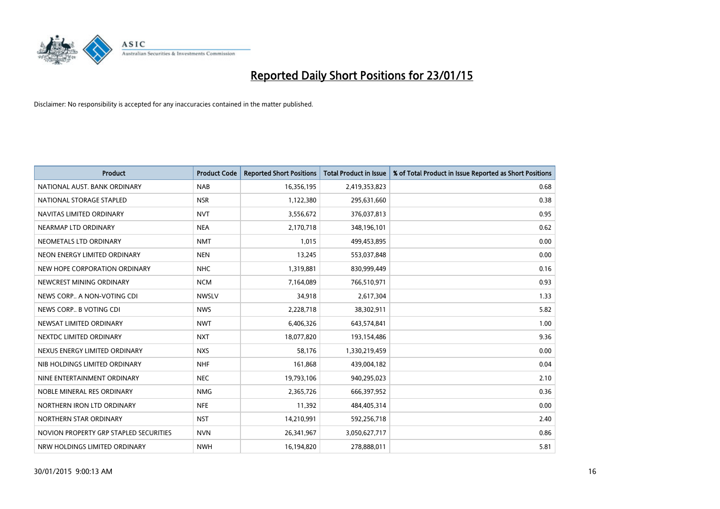

| <b>Product</b>                         | <b>Product Code</b> | <b>Reported Short Positions</b> | Total Product in Issue | % of Total Product in Issue Reported as Short Positions |
|----------------------------------------|---------------------|---------------------------------|------------------------|---------------------------------------------------------|
| NATIONAL AUST. BANK ORDINARY           | <b>NAB</b>          | 16,356,195                      | 2,419,353,823          | 0.68                                                    |
| NATIONAL STORAGE STAPLED               | <b>NSR</b>          | 1,122,380                       | 295,631,660            | 0.38                                                    |
| NAVITAS LIMITED ORDINARY               | <b>NVT</b>          | 3,556,672                       | 376,037,813            | 0.95                                                    |
| NEARMAP LTD ORDINARY                   | <b>NEA</b>          | 2,170,718                       | 348,196,101            | 0.62                                                    |
| NEOMETALS LTD ORDINARY                 | <b>NMT</b>          | 1,015                           | 499,453,895            | 0.00                                                    |
| NEON ENERGY LIMITED ORDINARY           | <b>NEN</b>          | 13,245                          | 553,037,848            | 0.00                                                    |
| NEW HOPE CORPORATION ORDINARY          | <b>NHC</b>          | 1,319,881                       | 830,999,449            | 0.16                                                    |
| NEWCREST MINING ORDINARY               | <b>NCM</b>          | 7,164,089                       | 766,510,971            | 0.93                                                    |
| NEWS CORP A NON-VOTING CDI             | <b>NWSLV</b>        | 34,918                          | 2,617,304              | 1.33                                                    |
| NEWS CORP B VOTING CDI                 | <b>NWS</b>          | 2,228,718                       | 38,302,911             | 5.82                                                    |
| NEWSAT LIMITED ORDINARY                | <b>NWT</b>          | 6,406,326                       | 643,574,841            | 1.00                                                    |
| NEXTDC LIMITED ORDINARY                | <b>NXT</b>          | 18,077,820                      | 193,154,486            | 9.36                                                    |
| NEXUS ENERGY LIMITED ORDINARY          | <b>NXS</b>          | 58,176                          | 1,330,219,459          | 0.00                                                    |
| NIB HOLDINGS LIMITED ORDINARY          | <b>NHF</b>          | 161,868                         | 439,004,182            | 0.04                                                    |
| NINE ENTERTAINMENT ORDINARY            | <b>NEC</b>          | 19,793,106                      | 940,295,023            | 2.10                                                    |
| NOBLE MINERAL RES ORDINARY             | <b>NMG</b>          | 2,365,726                       | 666,397,952            | 0.36                                                    |
| NORTHERN IRON LTD ORDINARY             | <b>NFE</b>          | 11,392                          | 484,405,314            | 0.00                                                    |
| NORTHERN STAR ORDINARY                 | <b>NST</b>          | 14,210,991                      | 592,256,718            | 2.40                                                    |
| NOVION PROPERTY GRP STAPLED SECURITIES | <b>NVN</b>          | 26,341,967                      | 3,050,627,717          | 0.86                                                    |
| NRW HOLDINGS LIMITED ORDINARY          | <b>NWH</b>          | 16,194,820                      | 278,888,011            | 5.81                                                    |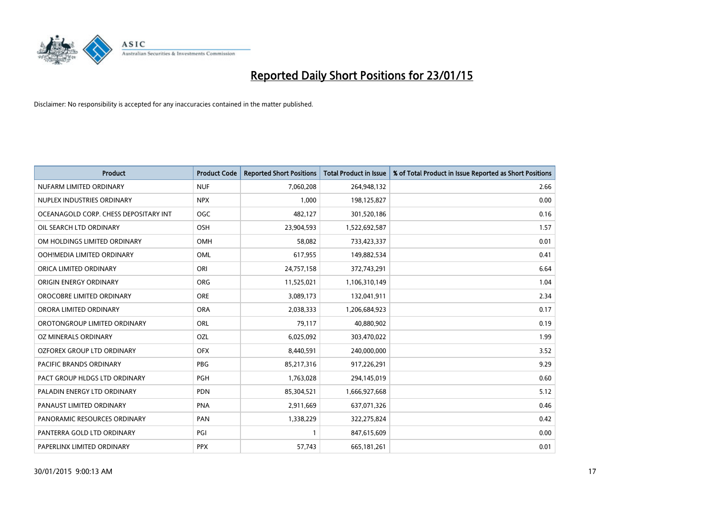

| <b>Product</b>                        | <b>Product Code</b> | <b>Reported Short Positions</b> | <b>Total Product in Issue</b> | % of Total Product in Issue Reported as Short Positions |
|---------------------------------------|---------------------|---------------------------------|-------------------------------|---------------------------------------------------------|
| NUFARM LIMITED ORDINARY               | <b>NUF</b>          | 7,060,208                       | 264,948,132                   | 2.66                                                    |
| NUPLEX INDUSTRIES ORDINARY            | <b>NPX</b>          | 1,000                           | 198,125,827                   | 0.00                                                    |
| OCEANAGOLD CORP. CHESS DEPOSITARY INT | OGC                 | 482,127                         | 301,520,186                   | 0.16                                                    |
| OIL SEARCH LTD ORDINARY               | OSH                 | 23,904,593                      | 1,522,692,587                 | 1.57                                                    |
| OM HOLDINGS LIMITED ORDINARY          | <b>OMH</b>          | 58,082                          | 733,423,337                   | 0.01                                                    |
| OOH!MEDIA LIMITED ORDINARY            | <b>OML</b>          | 617,955                         | 149,882,534                   | 0.41                                                    |
| ORICA LIMITED ORDINARY                | ORI                 | 24,757,158                      | 372,743,291                   | 6.64                                                    |
| ORIGIN ENERGY ORDINARY                | <b>ORG</b>          | 11,525,021                      | 1,106,310,149                 | 1.04                                                    |
| OROCOBRE LIMITED ORDINARY             | <b>ORE</b>          | 3,089,173                       | 132,041,911                   | 2.34                                                    |
| ORORA LIMITED ORDINARY                | <b>ORA</b>          | 2,038,333                       | 1,206,684,923                 | 0.17                                                    |
| OROTONGROUP LIMITED ORDINARY          | ORL                 | 79,117                          | 40,880,902                    | 0.19                                                    |
| OZ MINERALS ORDINARY                  | OZL                 | 6,025,092                       | 303,470,022                   | 1.99                                                    |
| OZFOREX GROUP LTD ORDINARY            | <b>OFX</b>          | 8,440,591                       | 240,000,000                   | 3.52                                                    |
| <b>PACIFIC BRANDS ORDINARY</b>        | <b>PBG</b>          | 85,217,316                      | 917,226,291                   | 9.29                                                    |
| PACT GROUP HLDGS LTD ORDINARY         | PGH                 | 1,763,028                       | 294,145,019                   | 0.60                                                    |
| PALADIN ENERGY LTD ORDINARY           | <b>PDN</b>          | 85,304,521                      | 1,666,927,668                 | 5.12                                                    |
| PANAUST LIMITED ORDINARY              | <b>PNA</b>          | 2,911,669                       | 637,071,326                   | 0.46                                                    |
| PANORAMIC RESOURCES ORDINARY          | PAN                 | 1,338,229                       | 322,275,824                   | 0.42                                                    |
| PANTERRA GOLD LTD ORDINARY            | PGI                 | $\mathbf{1}$                    | 847,615,609                   | 0.00                                                    |
| PAPERLINX LIMITED ORDINARY            | <b>PPX</b>          | 57,743                          | 665, 181, 261                 | 0.01                                                    |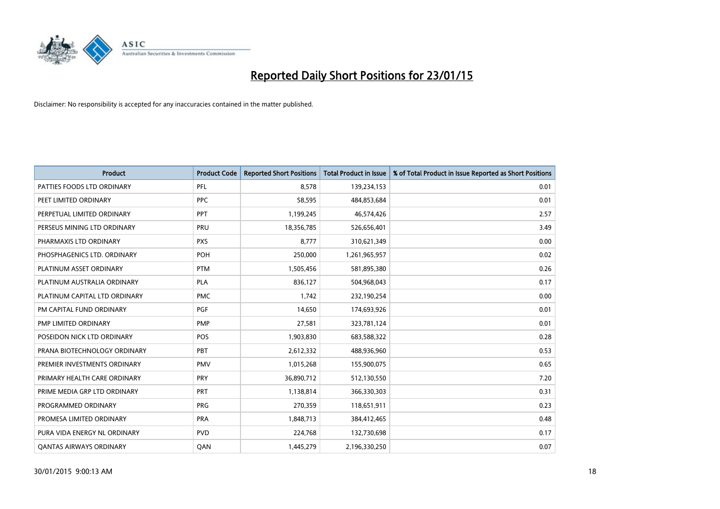

| <b>Product</b>                 | <b>Product Code</b> | <b>Reported Short Positions</b> | <b>Total Product in Issue</b> | % of Total Product in Issue Reported as Short Positions |
|--------------------------------|---------------------|---------------------------------|-------------------------------|---------------------------------------------------------|
| PATTIES FOODS LTD ORDINARY     | PFL                 | 8.578                           | 139,234,153                   | 0.01                                                    |
| PEET LIMITED ORDINARY          | PPC                 | 58,595                          | 484,853,684                   | 0.01                                                    |
| PERPETUAL LIMITED ORDINARY     | PPT                 | 1,199,245                       | 46,574,426                    | 2.57                                                    |
| PERSEUS MINING LTD ORDINARY    | PRU                 | 18,356,785                      | 526,656,401                   | 3.49                                                    |
| PHARMAXIS LTD ORDINARY         | <b>PXS</b>          | 8,777                           | 310,621,349                   | 0.00                                                    |
| PHOSPHAGENICS LTD. ORDINARY    | POH                 | 250,000                         | 1,261,965,957                 | 0.02                                                    |
| PLATINUM ASSET ORDINARY        | <b>PTM</b>          | 1,505,456                       | 581,895,380                   | 0.26                                                    |
| PLATINUM AUSTRALIA ORDINARY    | <b>PLA</b>          | 836,127                         | 504,968,043                   | 0.17                                                    |
| PLATINUM CAPITAL LTD ORDINARY  | <b>PMC</b>          | 1.742                           | 232,190,254                   | 0.00                                                    |
| PM CAPITAL FUND ORDINARY       | <b>PGF</b>          | 14,650                          | 174,693,926                   | 0.01                                                    |
| PMP LIMITED ORDINARY           | <b>PMP</b>          | 27,581                          | 323,781,124                   | 0.01                                                    |
| POSEIDON NICK LTD ORDINARY     | POS                 | 1,903,830                       | 683,588,322                   | 0.28                                                    |
| PRANA BIOTECHNOLOGY ORDINARY   | PBT                 | 2,612,332                       | 488,936,960                   | 0.53                                                    |
| PREMIER INVESTMENTS ORDINARY   | <b>PMV</b>          | 1,015,268                       | 155,900,075                   | 0.65                                                    |
| PRIMARY HEALTH CARE ORDINARY   | <b>PRY</b>          | 36,890,712                      | 512,130,550                   | 7.20                                                    |
| PRIME MEDIA GRP LTD ORDINARY   | PRT                 | 1,138,814                       | 366,330,303                   | 0.31                                                    |
| PROGRAMMED ORDINARY            | <b>PRG</b>          | 270,359                         | 118,651,911                   | 0.23                                                    |
| PROMESA LIMITED ORDINARY       | <b>PRA</b>          | 1,848,713                       | 384,412,465                   | 0.48                                                    |
| PURA VIDA ENERGY NL ORDINARY   | <b>PVD</b>          | 224,768                         | 132,730,698                   | 0.17                                                    |
| <b>QANTAS AIRWAYS ORDINARY</b> | QAN                 | 1,445,279                       | 2,196,330,250                 | 0.07                                                    |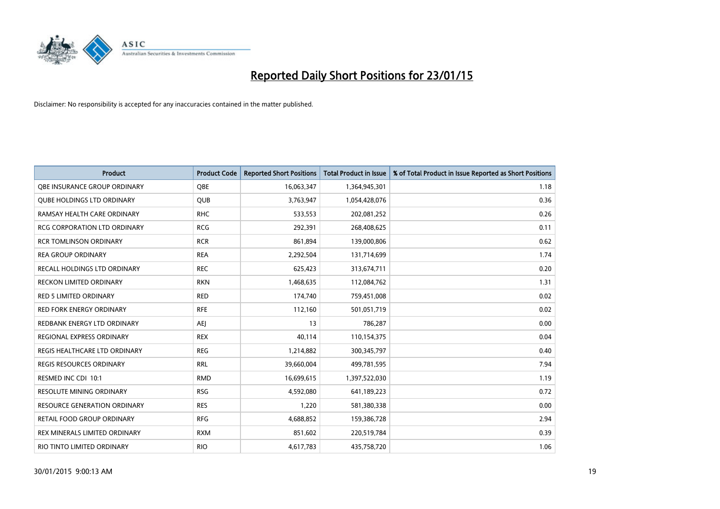

| <b>Product</b>                      | <b>Product Code</b> | <b>Reported Short Positions</b> | Total Product in Issue | % of Total Product in Issue Reported as Short Positions |
|-------------------------------------|---------------------|---------------------------------|------------------------|---------------------------------------------------------|
| OBE INSURANCE GROUP ORDINARY        | <b>OBE</b>          | 16,063,347                      | 1,364,945,301          | 1.18                                                    |
| <b>QUBE HOLDINGS LTD ORDINARY</b>   | QUB                 | 3,763,947                       | 1,054,428,076          | 0.36                                                    |
| RAMSAY HEALTH CARE ORDINARY         | <b>RHC</b>          | 533,553                         | 202,081,252            | 0.26                                                    |
| <b>RCG CORPORATION LTD ORDINARY</b> | <b>RCG</b>          | 292,391                         | 268,408,625            | 0.11                                                    |
| <b>RCR TOMLINSON ORDINARY</b>       | <b>RCR</b>          | 861,894                         | 139,000,806            | 0.62                                                    |
| <b>REA GROUP ORDINARY</b>           | <b>REA</b>          | 2,292,504                       | 131,714,699            | 1.74                                                    |
| RECALL HOLDINGS LTD ORDINARY        | <b>REC</b>          | 625,423                         | 313,674,711            | 0.20                                                    |
| <b>RECKON LIMITED ORDINARY</b>      | <b>RKN</b>          | 1,468,635                       | 112,084,762            | 1.31                                                    |
| <b>RED 5 LIMITED ORDINARY</b>       | <b>RED</b>          | 174,740                         | 759,451,008            | 0.02                                                    |
| <b>RED FORK ENERGY ORDINARY</b>     | <b>RFE</b>          | 112,160                         | 501,051,719            | 0.02                                                    |
| REDBANK ENERGY LTD ORDINARY         | <b>AEI</b>          | 13                              | 786,287                | 0.00                                                    |
| REGIONAL EXPRESS ORDINARY           | <b>REX</b>          | 40.114                          | 110,154,375            | 0.04                                                    |
| REGIS HEALTHCARE LTD ORDINARY       | <b>REG</b>          | 1,214,882                       | 300,345,797            | 0.40                                                    |
| <b>REGIS RESOURCES ORDINARY</b>     | <b>RRL</b>          | 39,660,004                      | 499,781,595            | 7.94                                                    |
| RESMED INC CDI 10:1                 | <b>RMD</b>          | 16,699,615                      | 1,397,522,030          | 1.19                                                    |
| <b>RESOLUTE MINING ORDINARY</b>     | <b>RSG</b>          | 4,592,080                       | 641,189,223            | 0.72                                                    |
| RESOURCE GENERATION ORDINARY        | <b>RES</b>          | 1,220                           | 581,380,338            | 0.00                                                    |
| RETAIL FOOD GROUP ORDINARY          | <b>RFG</b>          | 4,688,852                       | 159,386,728            | 2.94                                                    |
| REX MINERALS LIMITED ORDINARY       | <b>RXM</b>          | 851,602                         | 220,519,784            | 0.39                                                    |
| RIO TINTO LIMITED ORDINARY          | <b>RIO</b>          | 4,617,783                       | 435,758,720            | 1.06                                                    |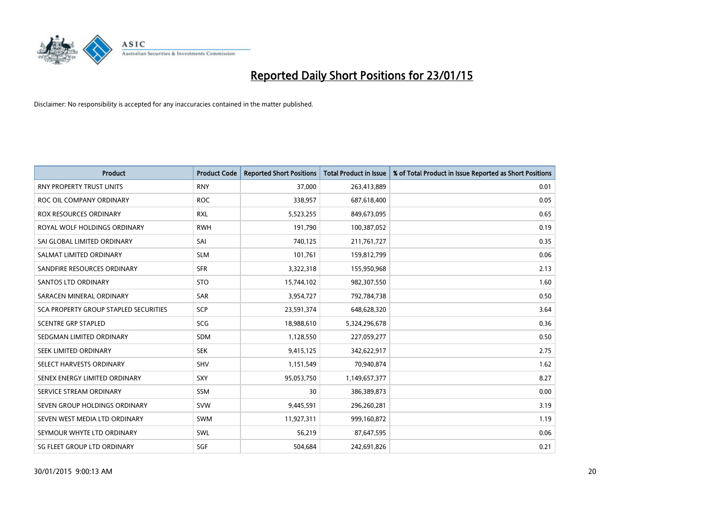

| <b>Product</b>                               | <b>Product Code</b> | <b>Reported Short Positions</b> | <b>Total Product in Issue</b> | % of Total Product in Issue Reported as Short Positions |
|----------------------------------------------|---------------------|---------------------------------|-------------------------------|---------------------------------------------------------|
| <b>RNY PROPERTY TRUST UNITS</b>              | <b>RNY</b>          | 37,000                          | 263,413,889                   | 0.01                                                    |
| ROC OIL COMPANY ORDINARY                     | <b>ROC</b>          | 338,957                         | 687,618,400                   | 0.05                                                    |
| ROX RESOURCES ORDINARY                       | <b>RXL</b>          | 5,523,255                       | 849,673,095                   | 0.65                                                    |
| ROYAL WOLF HOLDINGS ORDINARY                 | <b>RWH</b>          | 191,790                         | 100,387,052                   | 0.19                                                    |
| SAI GLOBAL LIMITED ORDINARY                  | SAI                 | 740,125                         | 211,761,727                   | 0.35                                                    |
| SALMAT LIMITED ORDINARY                      | <b>SLM</b>          | 101,761                         | 159,812,799                   | 0.06                                                    |
| SANDFIRE RESOURCES ORDINARY                  | <b>SFR</b>          | 3,322,318                       | 155,950,968                   | 2.13                                                    |
| SANTOS LTD ORDINARY                          | <b>STO</b>          | 15,744,102                      | 982,307,550                   | 1.60                                                    |
| SARACEN MINERAL ORDINARY                     | SAR                 | 3,954,727                       | 792,784,738                   | 0.50                                                    |
| <b>SCA PROPERTY GROUP STAPLED SECURITIES</b> | <b>SCP</b>          | 23,591,374                      | 648,628,320                   | 3.64                                                    |
| <b>SCENTRE GRP STAPLED</b>                   | SCG                 | 18,988,610                      | 5,324,296,678                 | 0.36                                                    |
| SEDGMAN LIMITED ORDINARY                     | <b>SDM</b>          | 1,128,550                       | 227,059,277                   | 0.50                                                    |
| SEEK LIMITED ORDINARY                        | <b>SEK</b>          | 9,415,125                       | 342,622,917                   | 2.75                                                    |
| SELECT HARVESTS ORDINARY                     | <b>SHV</b>          | 1,151,549                       | 70,940,874                    | 1.62                                                    |
| SENEX ENERGY LIMITED ORDINARY                | <b>SXY</b>          | 95,053,750                      | 1,149,657,377                 | 8.27                                                    |
| SERVICE STREAM ORDINARY                      | SSM                 | 30                              | 386,389,873                   | 0.00                                                    |
| SEVEN GROUP HOLDINGS ORDINARY                | <b>SVW</b>          | 9,445,591                       | 296,260,281                   | 3.19                                                    |
| SEVEN WEST MEDIA LTD ORDINARY                | SWM                 | 11,927,311                      | 999,160,872                   | 1.19                                                    |
| SEYMOUR WHYTE LTD ORDINARY                   | SWL                 | 56,219                          | 87,647,595                    | 0.06                                                    |
| SG FLEET GROUP LTD ORDINARY                  | SGF                 | 504,684                         | 242,691,826                   | 0.21                                                    |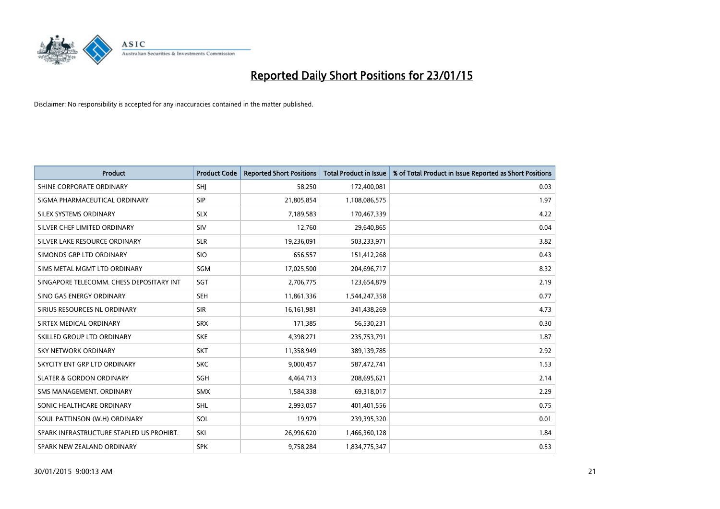

| Product                                  | <b>Product Code</b> | <b>Reported Short Positions</b> | <b>Total Product in Issue</b> | % of Total Product in Issue Reported as Short Positions |
|------------------------------------------|---------------------|---------------------------------|-------------------------------|---------------------------------------------------------|
| SHINE CORPORATE ORDINARY                 | <b>SHI</b>          | 58,250                          | 172,400,081                   | 0.03                                                    |
| SIGMA PHARMACEUTICAL ORDINARY            | <b>SIP</b>          | 21,805,854                      | 1,108,086,575                 | 1.97                                                    |
| SILEX SYSTEMS ORDINARY                   | <b>SLX</b>          | 7,189,583                       | 170,467,339                   | 4.22                                                    |
| SILVER CHEF LIMITED ORDINARY             | SIV                 | 12,760                          | 29,640,865                    | 0.04                                                    |
| SILVER LAKE RESOURCE ORDINARY            | <b>SLR</b>          | 19,236,091                      | 503,233,971                   | 3.82                                                    |
| SIMONDS GRP LTD ORDINARY                 | <b>SIO</b>          | 656,557                         | 151,412,268                   | 0.43                                                    |
| SIMS METAL MGMT LTD ORDINARY             | <b>SGM</b>          | 17,025,500                      | 204,696,717                   | 8.32                                                    |
| SINGAPORE TELECOMM. CHESS DEPOSITARY INT | <b>SGT</b>          | 2,706,775                       | 123,654,879                   | 2.19                                                    |
| SINO GAS ENERGY ORDINARY                 | <b>SEH</b>          | 11,861,336                      | 1,544,247,358                 | 0.77                                                    |
| SIRIUS RESOURCES NL ORDINARY             | <b>SIR</b>          | 16,161,981                      | 341,438,269                   | 4.73                                                    |
| SIRTEX MEDICAL ORDINARY                  | <b>SRX</b>          | 171,385                         | 56,530,231                    | 0.30                                                    |
| SKILLED GROUP LTD ORDINARY               | <b>SKE</b>          | 4,398,271                       | 235,753,791                   | 1.87                                                    |
| <b>SKY NETWORK ORDINARY</b>              | <b>SKT</b>          | 11,358,949                      | 389,139,785                   | 2.92                                                    |
| SKYCITY ENT GRP LTD ORDINARY             | <b>SKC</b>          | 9,000,457                       | 587,472,741                   | 1.53                                                    |
| <b>SLATER &amp; GORDON ORDINARY</b>      | SGH                 | 4,464,713                       | 208,695,621                   | 2.14                                                    |
| SMS MANAGEMENT, ORDINARY                 | <b>SMX</b>          | 1,584,338                       | 69,318,017                    | 2.29                                                    |
| SONIC HEALTHCARE ORDINARY                | <b>SHL</b>          | 2,993,057                       | 401,401,556                   | 0.75                                                    |
| SOUL PATTINSON (W.H) ORDINARY            | SOL                 | 19.979                          | 239,395,320                   | 0.01                                                    |
| SPARK INFRASTRUCTURE STAPLED US PROHIBT. | SKI                 | 26,996,620                      | 1,466,360,128                 | 1.84                                                    |
| SPARK NEW ZEALAND ORDINARY               | <b>SPK</b>          | 9,758,284                       | 1,834,775,347                 | 0.53                                                    |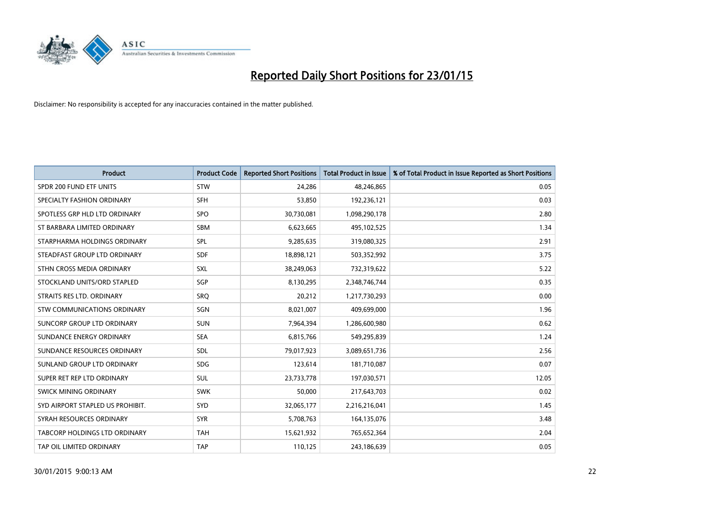

| <b>Product</b>                   | <b>Product Code</b> | <b>Reported Short Positions</b> | <b>Total Product in Issue</b> | % of Total Product in Issue Reported as Short Positions |
|----------------------------------|---------------------|---------------------------------|-------------------------------|---------------------------------------------------------|
| SPDR 200 FUND ETF UNITS          | <b>STW</b>          | 24,286                          | 48,246,865                    | 0.05                                                    |
| SPECIALTY FASHION ORDINARY       | <b>SFH</b>          | 53,850                          | 192,236,121                   | 0.03                                                    |
| SPOTLESS GRP HLD LTD ORDINARY    | <b>SPO</b>          | 30,730,081                      | 1,098,290,178                 | 2.80                                                    |
| ST BARBARA LIMITED ORDINARY      | <b>SBM</b>          | 6,623,665                       | 495,102,525                   | 1.34                                                    |
| STARPHARMA HOLDINGS ORDINARY     | SPL                 | 9,285,635                       | 319,080,325                   | 2.91                                                    |
| STEADFAST GROUP LTD ORDINARY     | <b>SDF</b>          | 18,898,121                      | 503,352,992                   | 3.75                                                    |
| STHN CROSS MEDIA ORDINARY        | <b>SXL</b>          | 38,249,063                      | 732,319,622                   | 5.22                                                    |
| STOCKLAND UNITS/ORD STAPLED      | SGP                 | 8,130,295                       | 2,348,746,744                 | 0.35                                                    |
| STRAITS RES LTD. ORDINARY        | <b>SRO</b>          | 20,212                          | 1,217,730,293                 | 0.00                                                    |
| STW COMMUNICATIONS ORDINARY      | SGN                 | 8,021,007                       | 409,699,000                   | 1.96                                                    |
| SUNCORP GROUP LTD ORDINARY       | <b>SUN</b>          | 7,964,394                       | 1,286,600,980                 | 0.62                                                    |
| SUNDANCE ENERGY ORDINARY         | <b>SEA</b>          | 6,815,766                       | 549,295,839                   | 1.24                                                    |
| SUNDANCE RESOURCES ORDINARY      | <b>SDL</b>          | 79,017,923                      | 3,089,651,736                 | 2.56                                                    |
| SUNLAND GROUP LTD ORDINARY       | <b>SDG</b>          | 123,614                         | 181,710,087                   | 0.07                                                    |
| SUPER RET REP LTD ORDINARY       | <b>SUL</b>          | 23,733,778                      | 197,030,571                   | 12.05                                                   |
| <b>SWICK MINING ORDINARY</b>     | <b>SWK</b>          | 50,000                          | 217,643,703                   | 0.02                                                    |
| SYD AIRPORT STAPLED US PROHIBIT. | <b>SYD</b>          | 32,065,177                      | 2,216,216,041                 | 1.45                                                    |
| SYRAH RESOURCES ORDINARY         | <b>SYR</b>          | 5,708,763                       | 164,135,076                   | 3.48                                                    |
| TABCORP HOLDINGS LTD ORDINARY    | <b>TAH</b>          | 15,621,932                      | 765,652,364                   | 2.04                                                    |
| TAP OIL LIMITED ORDINARY         | <b>TAP</b>          | 110,125                         | 243,186,639                   | 0.05                                                    |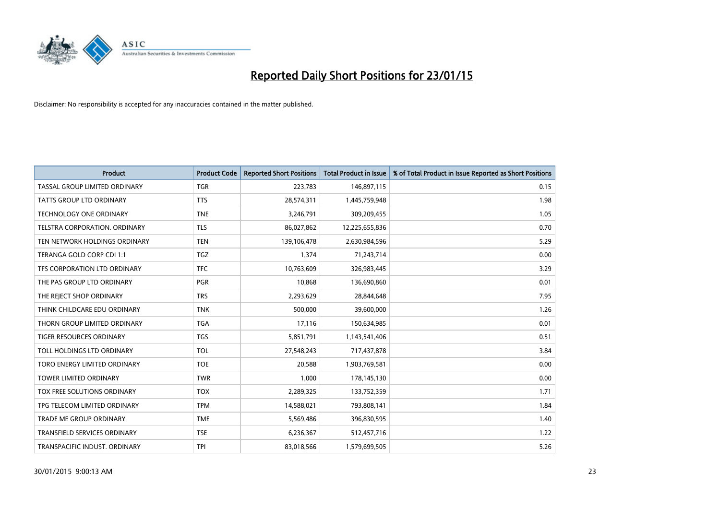

| Product                             | <b>Product Code</b> | <b>Reported Short Positions</b> | <b>Total Product in Issue</b> | % of Total Product in Issue Reported as Short Positions |
|-------------------------------------|---------------------|---------------------------------|-------------------------------|---------------------------------------------------------|
| TASSAL GROUP LIMITED ORDINARY       | <b>TGR</b>          | 223,783                         | 146,897,115                   | 0.15                                                    |
| <b>TATTS GROUP LTD ORDINARY</b>     | <b>TTS</b>          | 28,574,311                      | 1,445,759,948                 | 1.98                                                    |
| <b>TECHNOLOGY ONE ORDINARY</b>      | <b>TNE</b>          | 3,246,791                       | 309,209,455                   | 1.05                                                    |
| TELSTRA CORPORATION, ORDINARY       | <b>TLS</b>          | 86,027,862                      | 12,225,655,836                | 0.70                                                    |
| TEN NETWORK HOLDINGS ORDINARY       | <b>TEN</b>          | 139,106,478                     | 2,630,984,596                 | 5.29                                                    |
| TERANGA GOLD CORP CDI 1:1           | <b>TGZ</b>          | 1,374                           | 71,243,714                    | 0.00                                                    |
| TFS CORPORATION LTD ORDINARY        | <b>TFC</b>          | 10,763,609                      | 326,983,445                   | 3.29                                                    |
| THE PAS GROUP LTD ORDINARY          | <b>PGR</b>          | 10,868                          | 136,690,860                   | 0.01                                                    |
| THE REJECT SHOP ORDINARY            | <b>TRS</b>          | 2,293,629                       | 28,844,648                    | 7.95                                                    |
| THINK CHILDCARE EDU ORDINARY        | <b>TNK</b>          | 500,000                         | 39,600,000                    | 1.26                                                    |
| THORN GROUP LIMITED ORDINARY        | <b>TGA</b>          | 17,116                          | 150,634,985                   | 0.01                                                    |
| <b>TIGER RESOURCES ORDINARY</b>     | <b>TGS</b>          | 5,851,791                       | 1,143,541,406                 | 0.51                                                    |
| TOLL HOLDINGS LTD ORDINARY          | <b>TOL</b>          | 27,548,243                      | 717,437,878                   | 3.84                                                    |
| TORO ENERGY LIMITED ORDINARY        | <b>TOE</b>          | 20,588                          | 1,903,769,581                 | 0.00                                                    |
| TOWER LIMITED ORDINARY              | <b>TWR</b>          | 1,000                           | 178,145,130                   | 0.00                                                    |
| TOX FREE SOLUTIONS ORDINARY         | <b>TOX</b>          | 2,289,325                       | 133,752,359                   | 1.71                                                    |
| TPG TELECOM LIMITED ORDINARY        | <b>TPM</b>          | 14,588,021                      | 793,808,141                   | 1.84                                                    |
| <b>TRADE ME GROUP ORDINARY</b>      | <b>TME</b>          | 5,569,486                       | 396,830,595                   | 1.40                                                    |
| <b>TRANSFIELD SERVICES ORDINARY</b> | <b>TSE</b>          | 6,236,367                       | 512,457,716                   | 1.22                                                    |
| TRANSPACIFIC INDUST. ORDINARY       | <b>TPI</b>          | 83,018,566                      | 1,579,699,505                 | 5.26                                                    |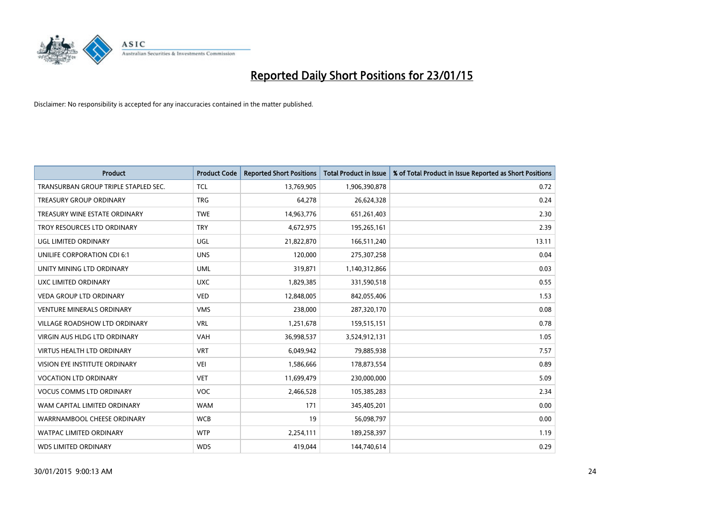

| <b>Product</b>                       | <b>Product Code</b> | <b>Reported Short Positions</b> | <b>Total Product in Issue</b> | % of Total Product in Issue Reported as Short Positions |
|--------------------------------------|---------------------|---------------------------------|-------------------------------|---------------------------------------------------------|
| TRANSURBAN GROUP TRIPLE STAPLED SEC. | <b>TCL</b>          | 13,769,905                      | 1,906,390,878                 | 0.72                                                    |
| <b>TREASURY GROUP ORDINARY</b>       | <b>TRG</b>          | 64,278                          | 26,624,328                    | 0.24                                                    |
| TREASURY WINE ESTATE ORDINARY        | <b>TWE</b>          | 14,963,776                      | 651,261,403                   | 2.30                                                    |
| TROY RESOURCES LTD ORDINARY          | <b>TRY</b>          | 4,672,975                       | 195,265,161                   | 2.39                                                    |
| <b>UGL LIMITED ORDINARY</b>          | UGL                 | 21,822,870                      | 166,511,240                   | 13.11                                                   |
| UNILIFE CORPORATION CDI 6:1          | <b>UNS</b>          | 120,000                         | 275,307,258                   | 0.04                                                    |
| UNITY MINING LTD ORDINARY            | <b>UML</b>          | 319,871                         | 1,140,312,866                 | 0.03                                                    |
| UXC LIMITED ORDINARY                 | <b>UXC</b>          | 1,829,385                       | 331,590,518                   | 0.55                                                    |
| <b>VEDA GROUP LTD ORDINARY</b>       | <b>VED</b>          | 12,848,005                      | 842,055,406                   | 1.53                                                    |
| <b>VENTURE MINERALS ORDINARY</b>     | <b>VMS</b>          | 238,000                         | 287,320,170                   | 0.08                                                    |
| <b>VILLAGE ROADSHOW LTD ORDINARY</b> | <b>VRL</b>          | 1,251,678                       | 159,515,151                   | 0.78                                                    |
| <b>VIRGIN AUS HLDG LTD ORDINARY</b>  | <b>VAH</b>          | 36,998,537                      | 3,524,912,131                 | 1.05                                                    |
| <b>VIRTUS HEALTH LTD ORDINARY</b>    | <b>VRT</b>          | 6,049,942                       | 79,885,938                    | 7.57                                                    |
| VISION EYE INSTITUTE ORDINARY        | <b>VEI</b>          | 1,586,666                       | 178,873,554                   | 0.89                                                    |
| <b>VOCATION LTD ORDINARY</b>         | <b>VET</b>          | 11,699,479                      | 230,000,000                   | 5.09                                                    |
| <b>VOCUS COMMS LTD ORDINARY</b>      | VOC                 | 2,466,528                       | 105,385,283                   | 2.34                                                    |
| WAM CAPITAL LIMITED ORDINARY         | <b>WAM</b>          | 171                             | 345,405,201                   | 0.00                                                    |
| WARRNAMBOOL CHEESE ORDINARY          | <b>WCB</b>          | 19                              | 56,098,797                    | 0.00                                                    |
| <b>WATPAC LIMITED ORDINARY</b>       | <b>WTP</b>          | 2,254,111                       | 189,258,397                   | 1.19                                                    |
| <b>WDS LIMITED ORDINARY</b>          | <b>WDS</b>          | 419,044                         | 144,740,614                   | 0.29                                                    |